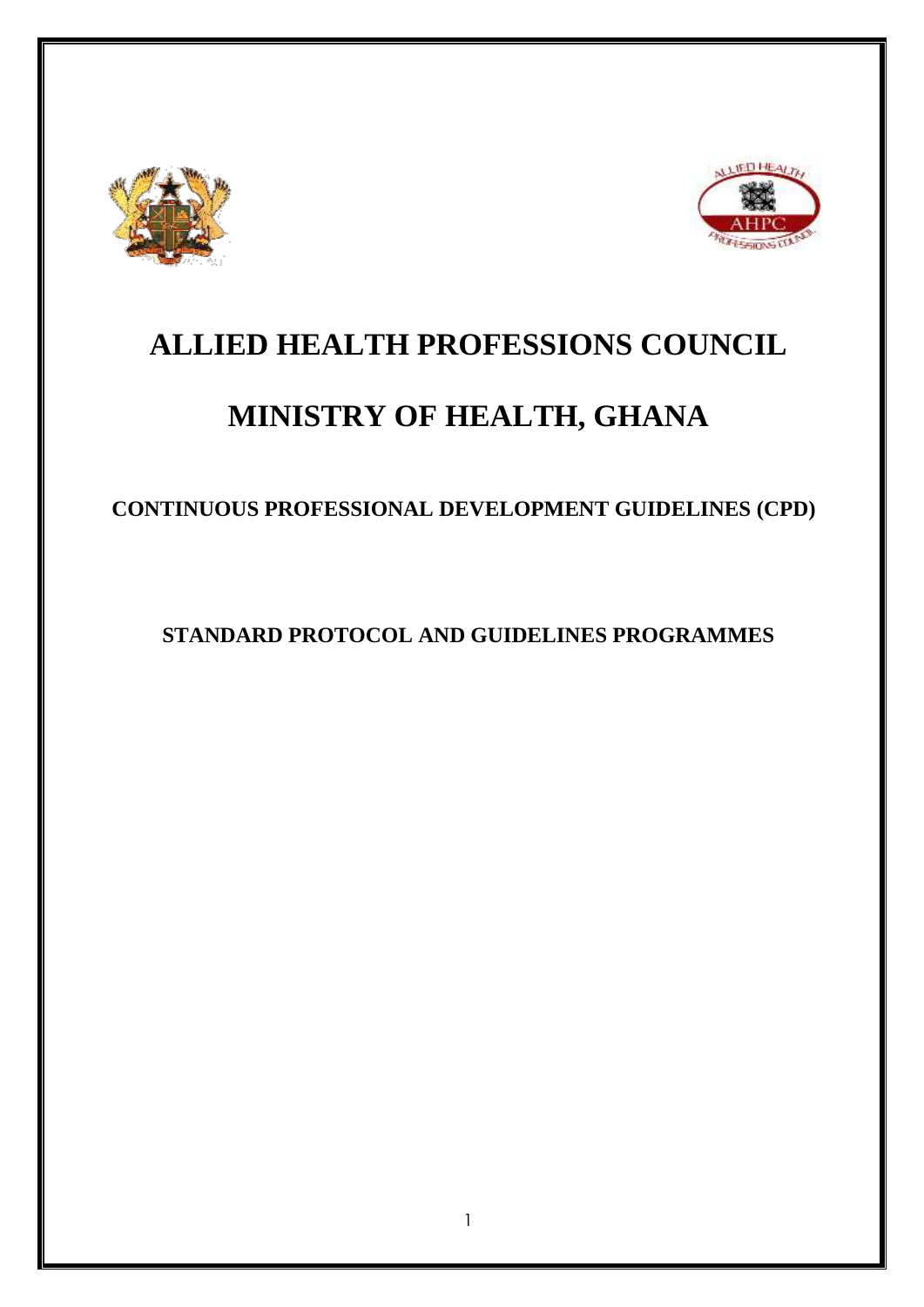



# **ALLIED HEALTH PROFESSIONS COUNCIL**

# **MINISTRY OF HEALTH, GHANA**

**CONTINUOUS PROFESSIONAL DEVELOPMENT GUIDELINES (CPD)**

**STANDARD PROTOCOL AND GUIDELINES PROGRAMMES**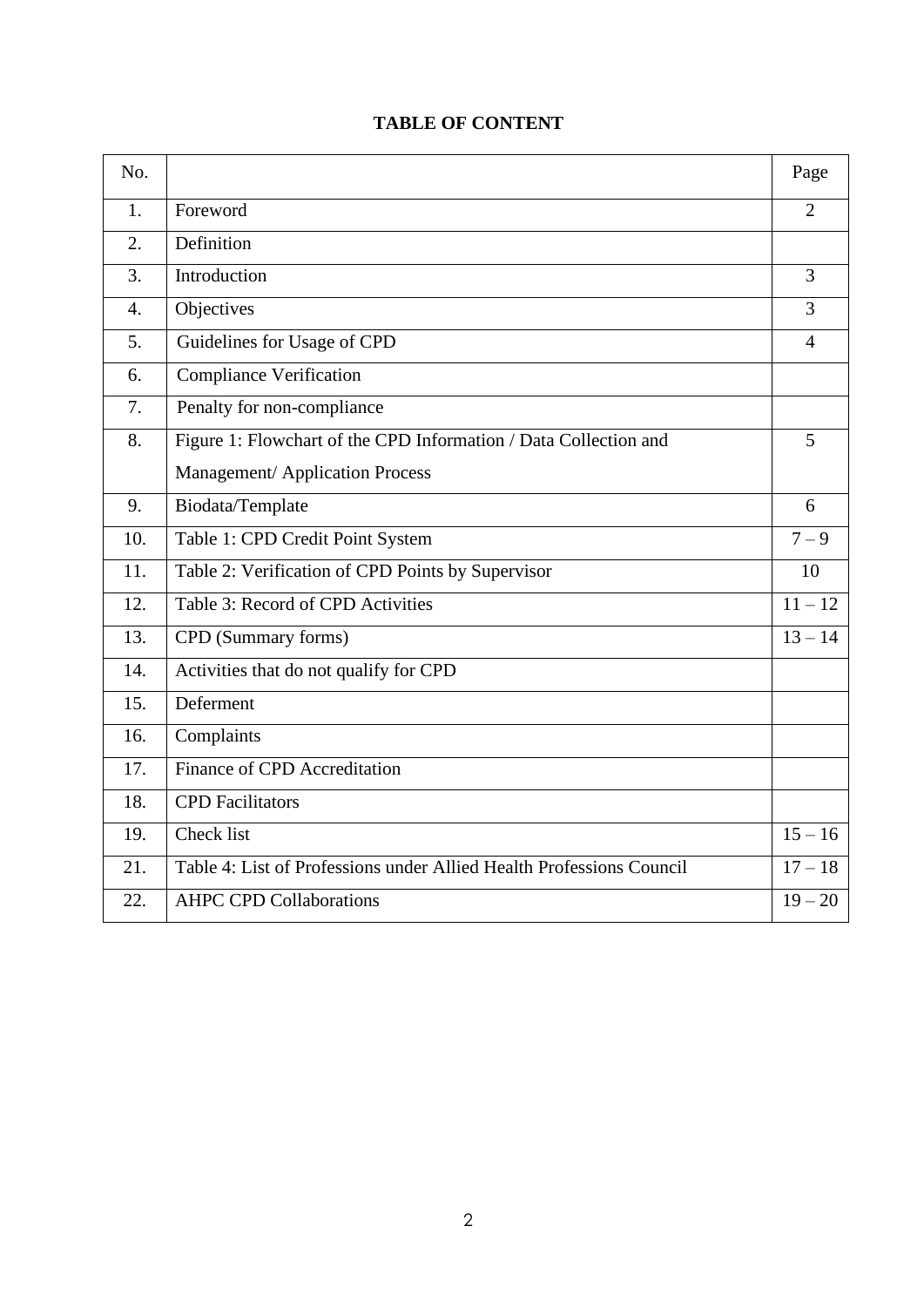# **TABLE OF CONTENT**

| No.              |                                                                      | Page           |
|------------------|----------------------------------------------------------------------|----------------|
| 1.               | Foreword                                                             | $\overline{2}$ |
| $\overline{2}$ . | Definition                                                           |                |
| 3.               | Introduction                                                         | 3              |
| $\overline{4}$ . | Objectives                                                           | $\overline{3}$ |
| 5.               | Guidelines for Usage of CPD                                          | $\overline{4}$ |
| 6.               | <b>Compliance Verification</b>                                       |                |
| 7.               | Penalty for non-compliance                                           |                |
| 8.               | Figure 1: Flowchart of the CPD Information / Data Collection and     | 5              |
|                  | <b>Management/Application Process</b>                                |                |
| 9.               | Biodata/Template                                                     | 6              |
| 10.              | Table 1: CPD Credit Point System                                     | $7 - 9$        |
| 11.              | Table 2: Verification of CPD Points by Supervisor                    | 10             |
| 12.              | Table 3: Record of CPD Activities                                    | $11 - 12$      |
| 13.              | CPD (Summary forms)                                                  | $13 - 14$      |
| 14.              | Activities that do not qualify for CPD                               |                |
| 15.              | Deferment                                                            |                |
| 16.              | Complaints                                                           |                |
| 17.              | Finance of CPD Accreditation                                         |                |
| 18.              | <b>CPD</b> Facilitators                                              |                |
| 19.              | Check list                                                           | $15 - 16$      |
| 21.              | Table 4: List of Professions under Allied Health Professions Council | $17 - 18$      |
| 22.              | <b>AHPC CPD Collaborations</b>                                       | $19 - 20$      |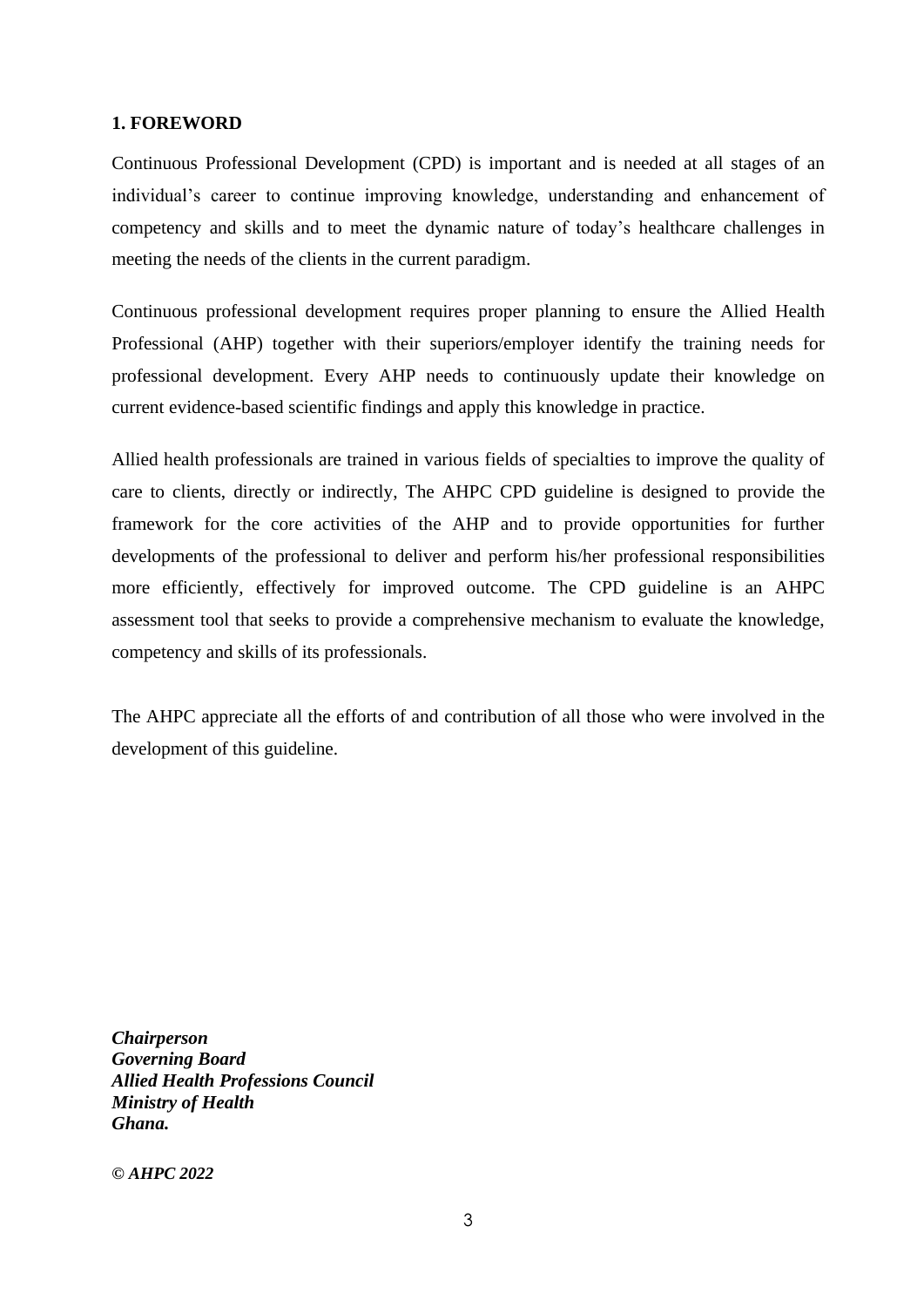### **1. FOREWORD**

Continuous Professional Development (CPD) is important and is needed at all stages of an individual's career to continue improving knowledge, understanding and enhancement of competency and skills and to meet the dynamic nature of today's healthcare challenges in meeting the needs of the clients in the current paradigm.

Continuous professional development requires proper planning to ensure the Allied Health Professional (AHP) together with their superiors/employer identify the training needs for professional development. Every AHP needs to continuously update their knowledge on current evidence-based scientific findings and apply this knowledge in practice.

Allied health professionals are trained in various fields of specialties to improve the quality of care to clients, directly or indirectly, The AHPC CPD guideline is designed to provide the framework for the core activities of the AHP and to provide opportunities for further developments of the professional to deliver and perform his/her professional responsibilities more efficiently, effectively for improved outcome. The CPD guideline is an AHPC assessment tool that seeks to provide a comprehensive mechanism to evaluate the knowledge, competency and skills of its professionals.

The AHPC appreciate all the efforts of and contribution of all those who were involved in the development of this guideline.

*Chairperson Governing Board Allied Health Professions Council Ministry of Health Ghana.*

*© AHPC 2022*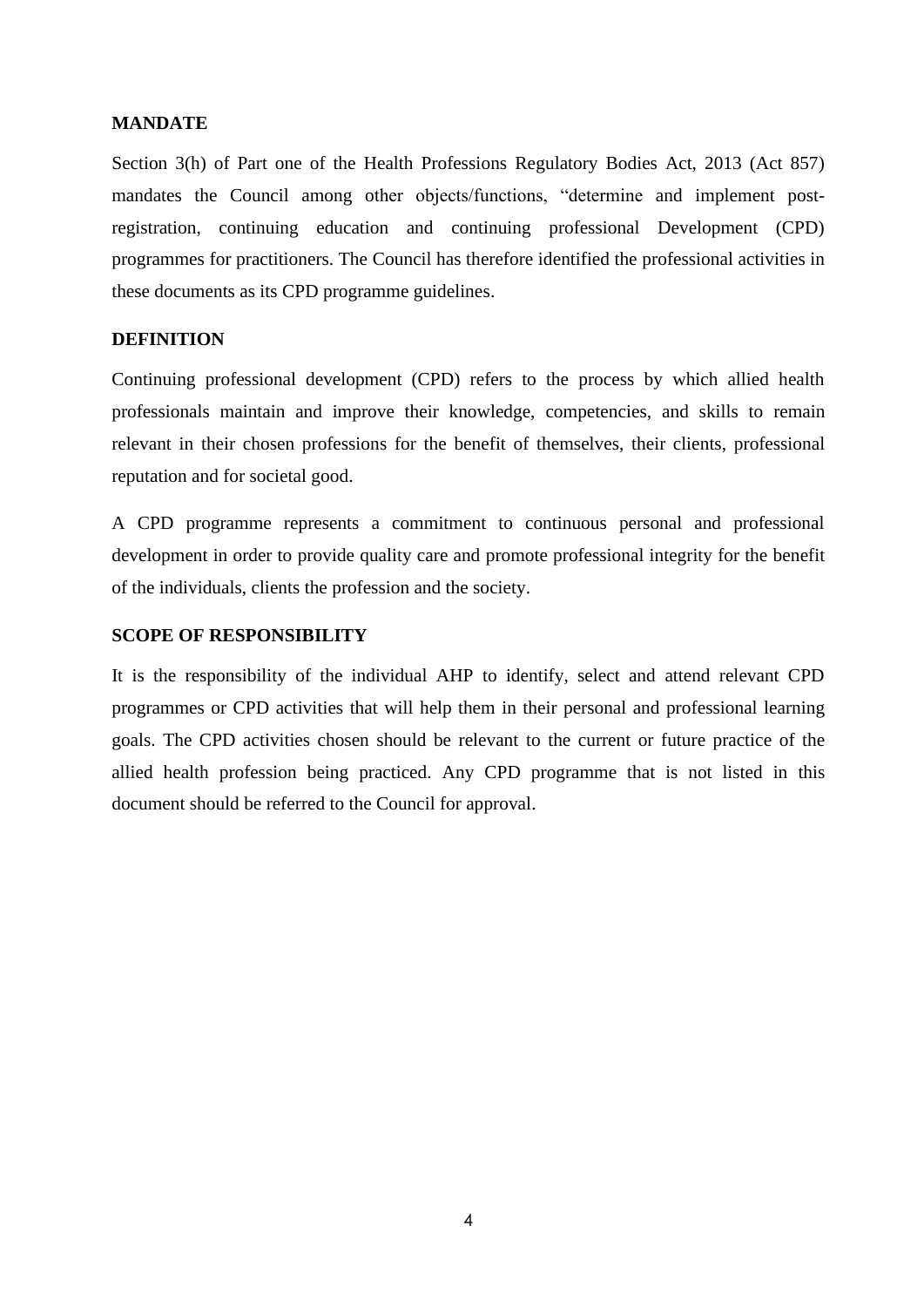#### **MANDATE**

Section 3(h) of Part one of the Health Professions Regulatory Bodies Act, 2013 (Act 857) mandates the Council among other objects/functions, "determine and implement postregistration, continuing education and continuing professional Development (CPD) programmes for practitioners. The Council has therefore identified the professional activities in these documents as its CPD programme guidelines.

# **DEFINITION**

Continuing professional development (CPD) refers to the process by which allied health professionals maintain and improve their knowledge, competencies, and skills to remain relevant in their chosen professions for the benefit of themselves, their clients, professional reputation and for societal good.

A CPD programme represents a commitment to continuous personal and professional development in order to provide quality care and promote professional integrity for the benefit of the individuals, clients the profession and the society.

#### **SCOPE OF RESPONSIBILITY**

It is the responsibility of the individual AHP to identify, select and attend relevant CPD programmes or CPD activities that will help them in their personal and professional learning goals. The CPD activities chosen should be relevant to the current or future practice of the allied health profession being practiced. Any CPD programme that is not listed in this document should be referred to the Council for approval.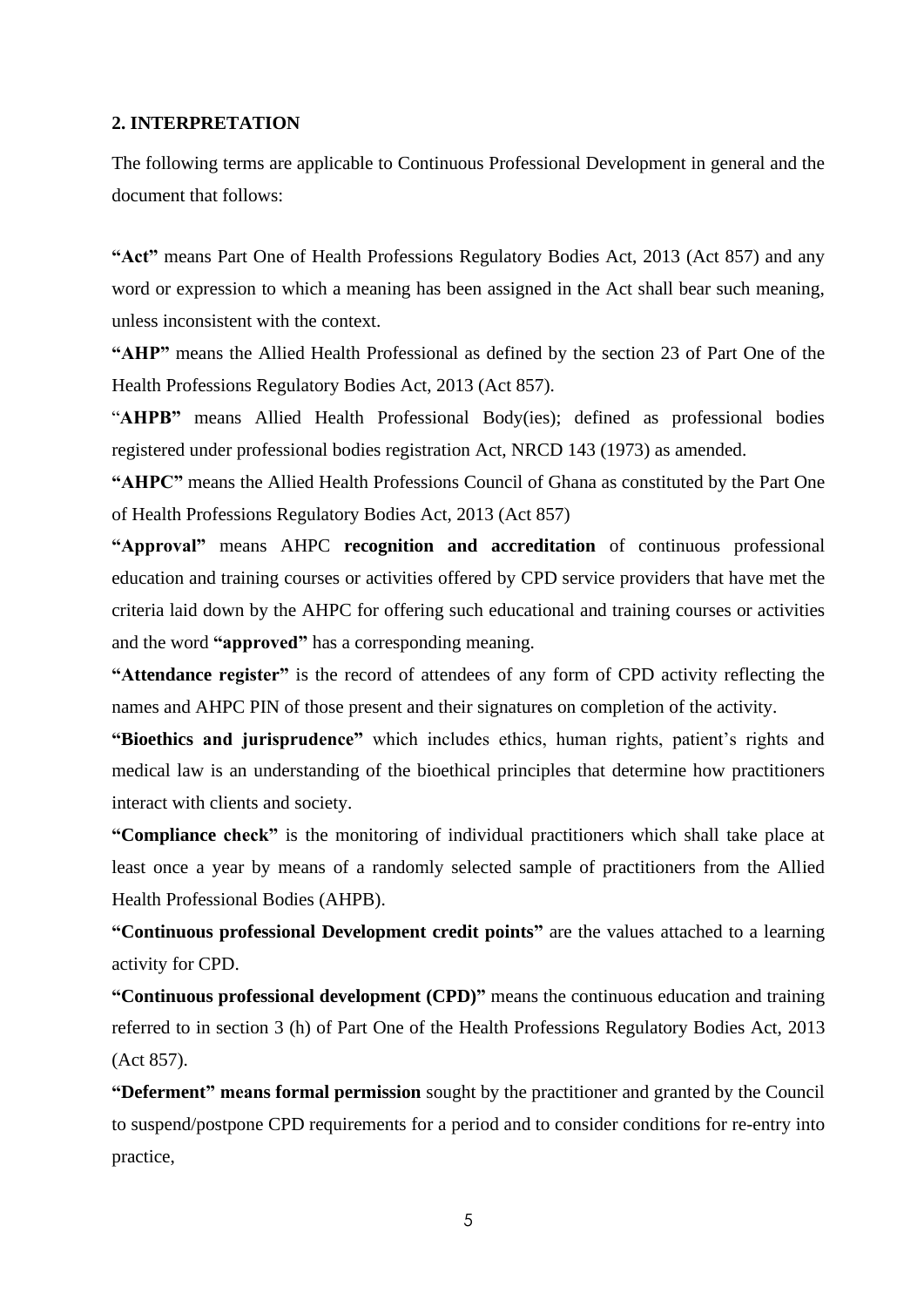#### **2. INTERPRETATION**

The following terms are applicable to Continuous Professional Development in general and the document that follows:

**"Act"** means Part One of Health Professions Regulatory Bodies Act, 2013 (Act 857) and any word or expression to which a meaning has been assigned in the Act shall bear such meaning, unless inconsistent with the context.

**"AHP"** means the Allied Health Professional as defined by the section 23 of Part One of the Health Professions Regulatory Bodies Act, 2013 (Act 857).

"**AHPB"** means Allied Health Professional Body(ies); defined as professional bodies registered under professional bodies registration Act, NRCD 143 (1973) as amended.

**"AHPC"** means the Allied Health Professions Council of Ghana as constituted by the Part One of Health Professions Regulatory Bodies Act, 2013 (Act 857)

**"Approval"** means AHPC **recognition and accreditation** of continuous professional education and training courses or activities offered by CPD service providers that have met the criteria laid down by the AHPC for offering such educational and training courses or activities and the word **"approved"** has a corresponding meaning.

**"Attendance register"** is the record of attendees of any form of CPD activity reflecting the names and AHPC PIN of those present and their signatures on completion of the activity.

**"Bioethics and jurisprudence"** which includes ethics, human rights, patient's rights and medical law is an understanding of the bioethical principles that determine how practitioners interact with clients and society.

**"Compliance check"** is the monitoring of individual practitioners which shall take place at least once a year by means of a randomly selected sample of practitioners from the Allied Health Professional Bodies (AHPB).

**"Continuous professional Development credit points"** are the values attached to a learning activity for CPD.

**"Continuous professional development (CPD)"** means the continuous education and training referred to in section 3 (h) of Part One of the Health Professions Regulatory Bodies Act, 2013 (Act 857).

**"Deferment" means formal permission** sought by the practitioner and granted by the Council to suspend/postpone CPD requirements for a period and to consider conditions for re-entry into practice,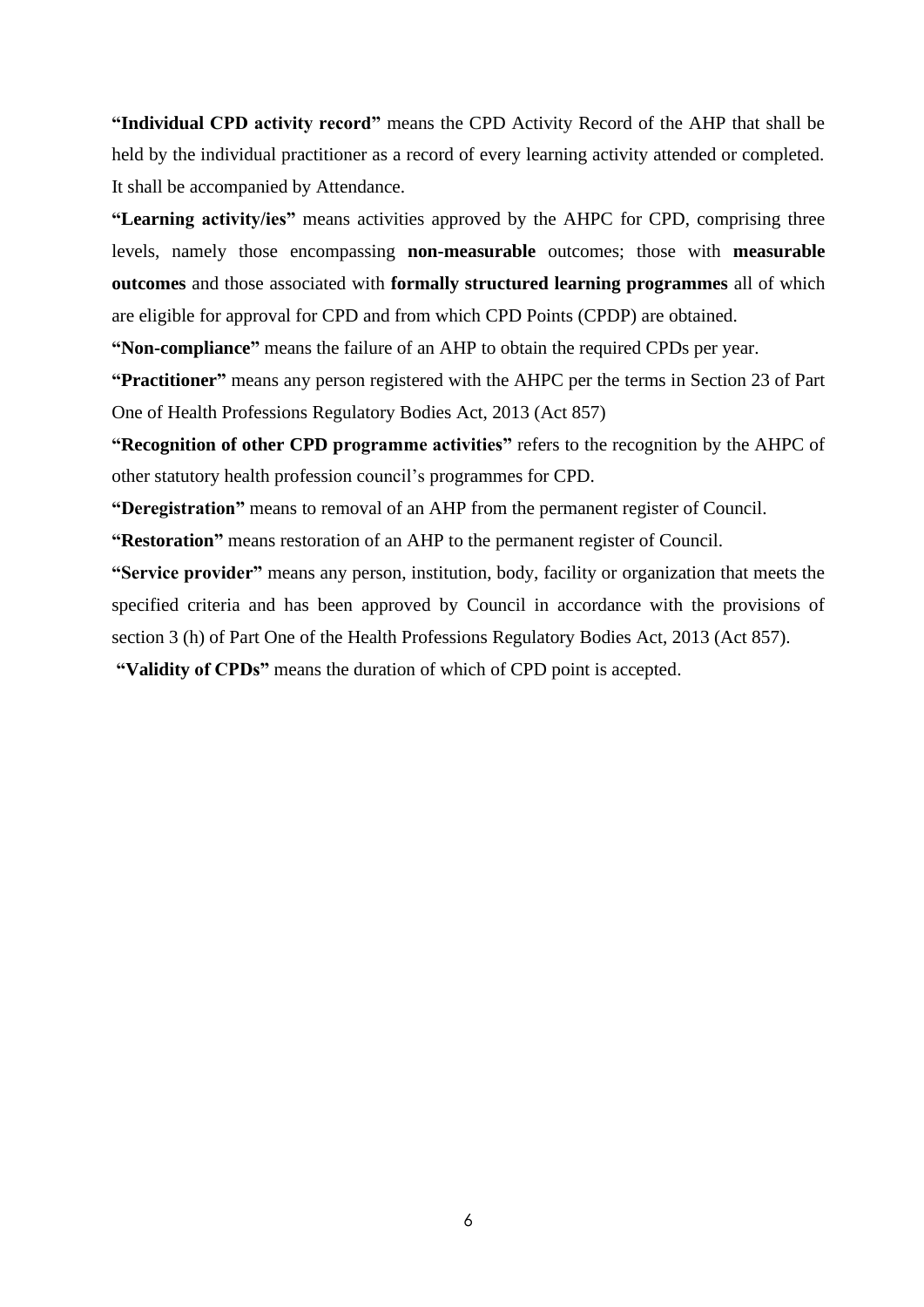**"Individual CPD activity record"** means the CPD Activity Record of the AHP that shall be held by the individual practitioner as a record of every learning activity attended or completed. It shall be accompanied by Attendance.

**"Learning activity/ies"** means activities approved by the AHPC for CPD, comprising three levels, namely those encompassing **non-measurable** outcomes; those with **measurable outcomes** and those associated with **formally structured learning programmes** all of which are eligible for approval for CPD and from which CPD Points (CPDP) are obtained.

**"Non-compliance"** means the failure of an AHP to obtain the required CPDs per year.

**"Practitioner"** means any person registered with the AHPC per the terms in Section 23 of Part One of Health Professions Regulatory Bodies Act, 2013 (Act 857)

**"Recognition of other CPD programme activities"** refers to the recognition by the AHPC of other statutory health profession council's programmes for CPD.

**"Deregistration"** means to removal of an AHP from the permanent register of Council.

**"Restoration"** means restoration of an AHP to the permanent register of Council.

**"Service provider"** means any person, institution, body, facility or organization that meets the specified criteria and has been approved by Council in accordance with the provisions of section 3 (h) of Part One of the Health Professions Regulatory Bodies Act, 2013 (Act 857).

**"Validity of CPDs"** means the duration of which of CPD point is accepted.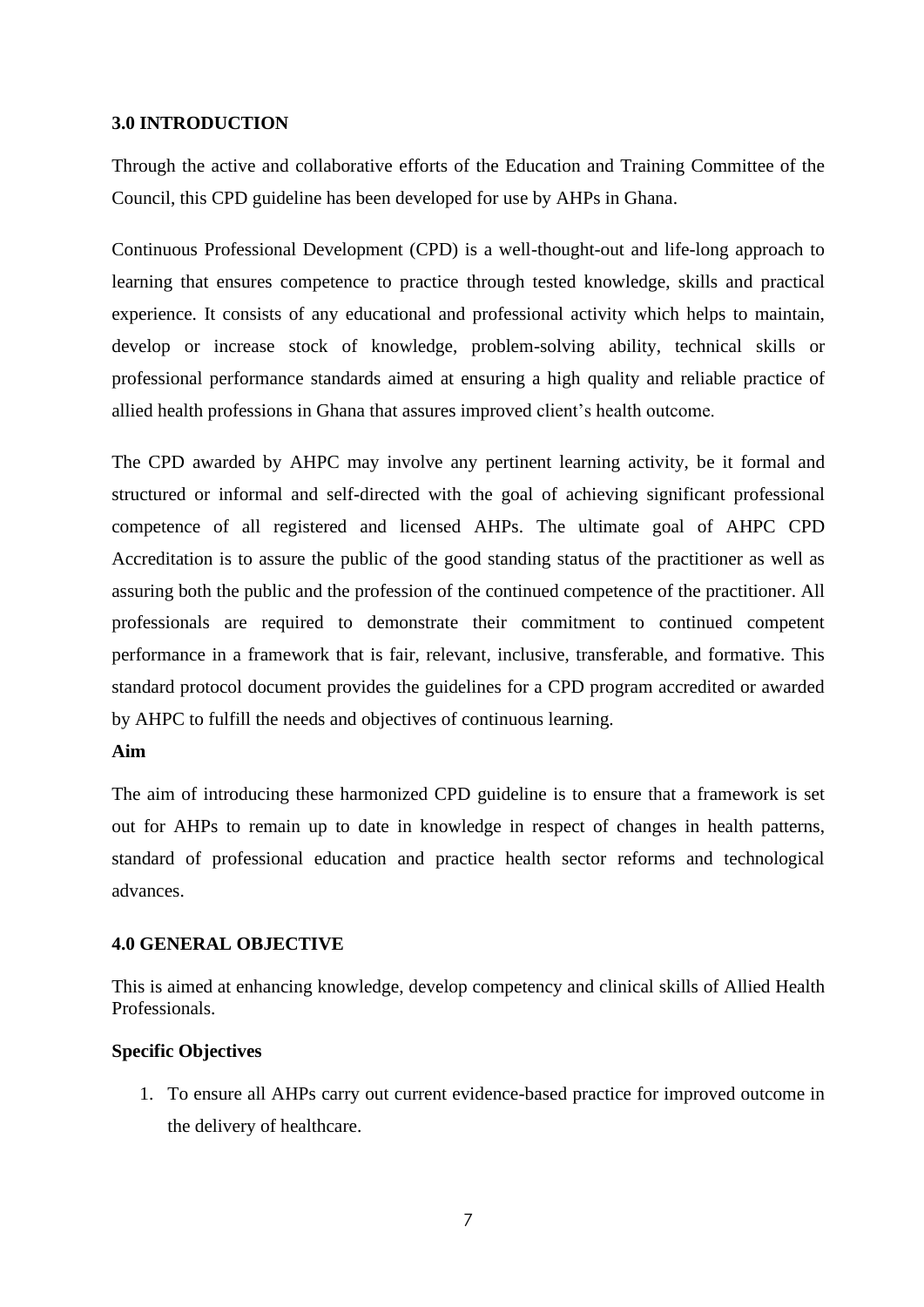#### **3.0 INTRODUCTION**

Through the active and collaborative efforts of the Education and Training Committee of the Council, this CPD guideline has been developed for use by AHPs in Ghana.

Continuous Professional Development (CPD) is a well-thought-out and life-long approach to learning that ensures competence to practice through tested knowledge, skills and practical experience. It consists of any educational and professional activity which helps to maintain, develop or increase stock of knowledge, problem-solving ability, technical skills or professional performance standards aimed at ensuring a high quality and reliable practice of allied health professions in Ghana that assures improved client's health outcome.

The CPD awarded by AHPC may involve any pertinent learning activity, be it formal and structured or informal and self-directed with the goal of achieving significant professional competence of all registered and licensed AHPs. The ultimate goal of AHPC CPD Accreditation is to assure the public of the good standing status of the practitioner as well as assuring both the public and the profession of the continued competence of the practitioner. All professionals are required to demonstrate their commitment to continued competent performance in a framework that is fair, relevant, inclusive, transferable, and formative. This standard protocol document provides the guidelines for a CPD program accredited or awarded by AHPC to fulfill the needs and objectives of continuous learning.

# **Aim**

The aim of introducing these harmonized CPD guideline is to ensure that a framework is set out for AHPs to remain up to date in knowledge in respect of changes in health patterns, standard of professional education and practice health sector reforms and technological advances.

# **4.0 GENERAL OBJECTIVE**

This is aimed at enhancing knowledge, develop competency and clinical skills of Allied Health Professionals.

# **Specific Objectives**

1. To ensure all AHPs carry out current evidence-based practice for improved outcome in the delivery of healthcare.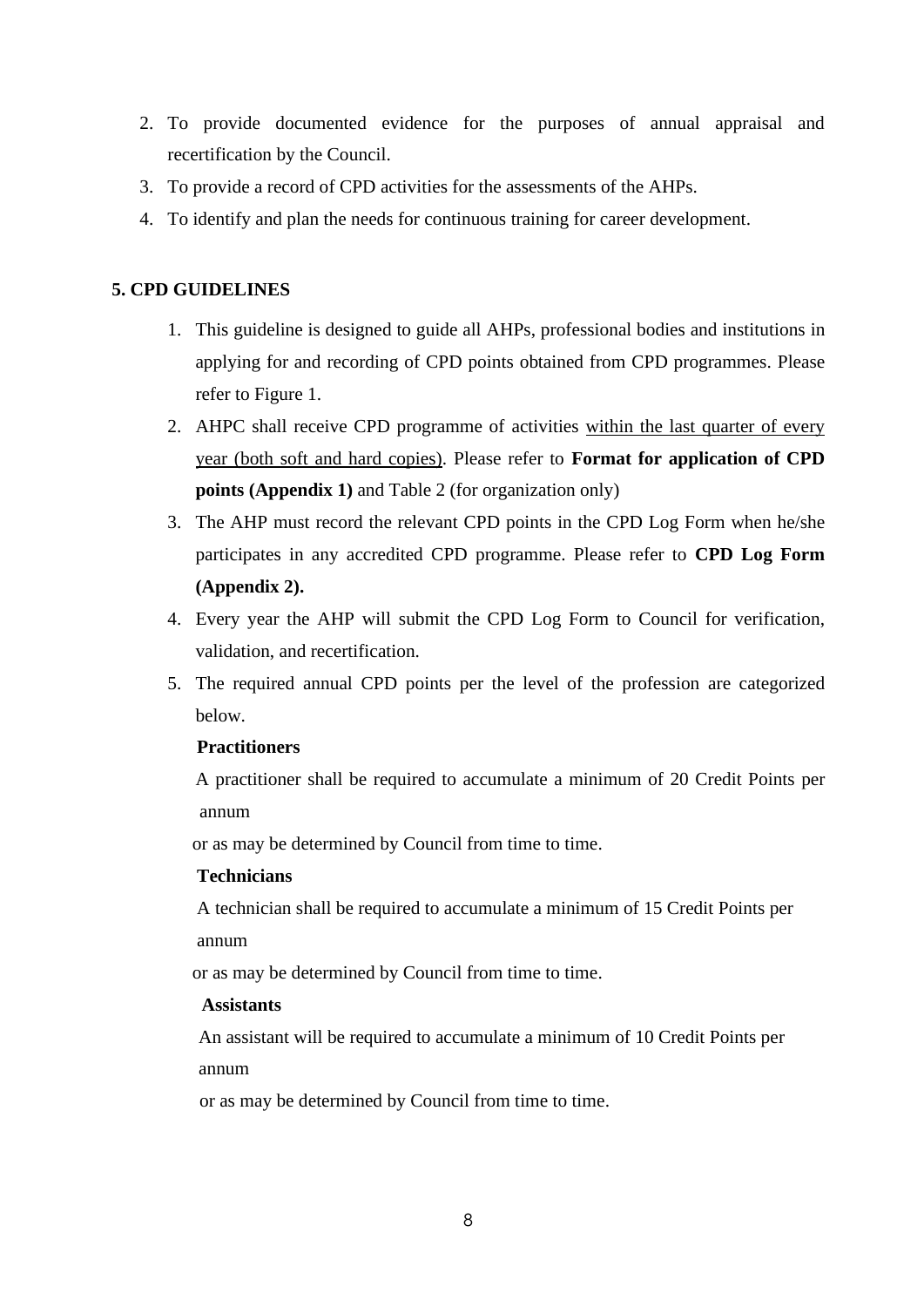- 2. To provide documented evidence for the purposes of annual appraisal and recertification by the Council.
- 3. To provide a record of CPD activities for the assessments of the AHPs.
- 4. To identify and plan the needs for continuous training for career development.

# **5. CPD GUIDELINES**

- 1. This guideline is designed to guide all AHPs, professional bodies and institutions in applying for and recording of CPD points obtained from CPD programmes. Please refer to Figure 1.
- 2. AHPC shall receive CPD programme of activities within the last quarter of every year (both soft and hard copies). Please refer to **Format for application of CPD points (Appendix 1)** and Table 2 (for organization only)
- 3. The AHP must record the relevant CPD points in the CPD Log Form when he/she participates in any accredited CPD programme. Please refer to **CPD Log Form (Appendix 2).**
- 4. Every year the AHP will submit the CPD Log Form to Council for verification, validation, and recertification.
- 5. The required annual CPD points per the level of the profession are categorized below.

# **Practitioners**

 A practitioner shall be required to accumulate a minimum of 20 Credit Points per annum

or as may be determined by Council from time to time.

# **Technicians**

 A technician shall be required to accumulate a minimum of 15 Credit Points per annum

or as may be determined by Council from time to time.

# **Assistants**

An assistant will be required to accumulate a minimum of 10 Credit Points per annum

or as may be determined by Council from time to time.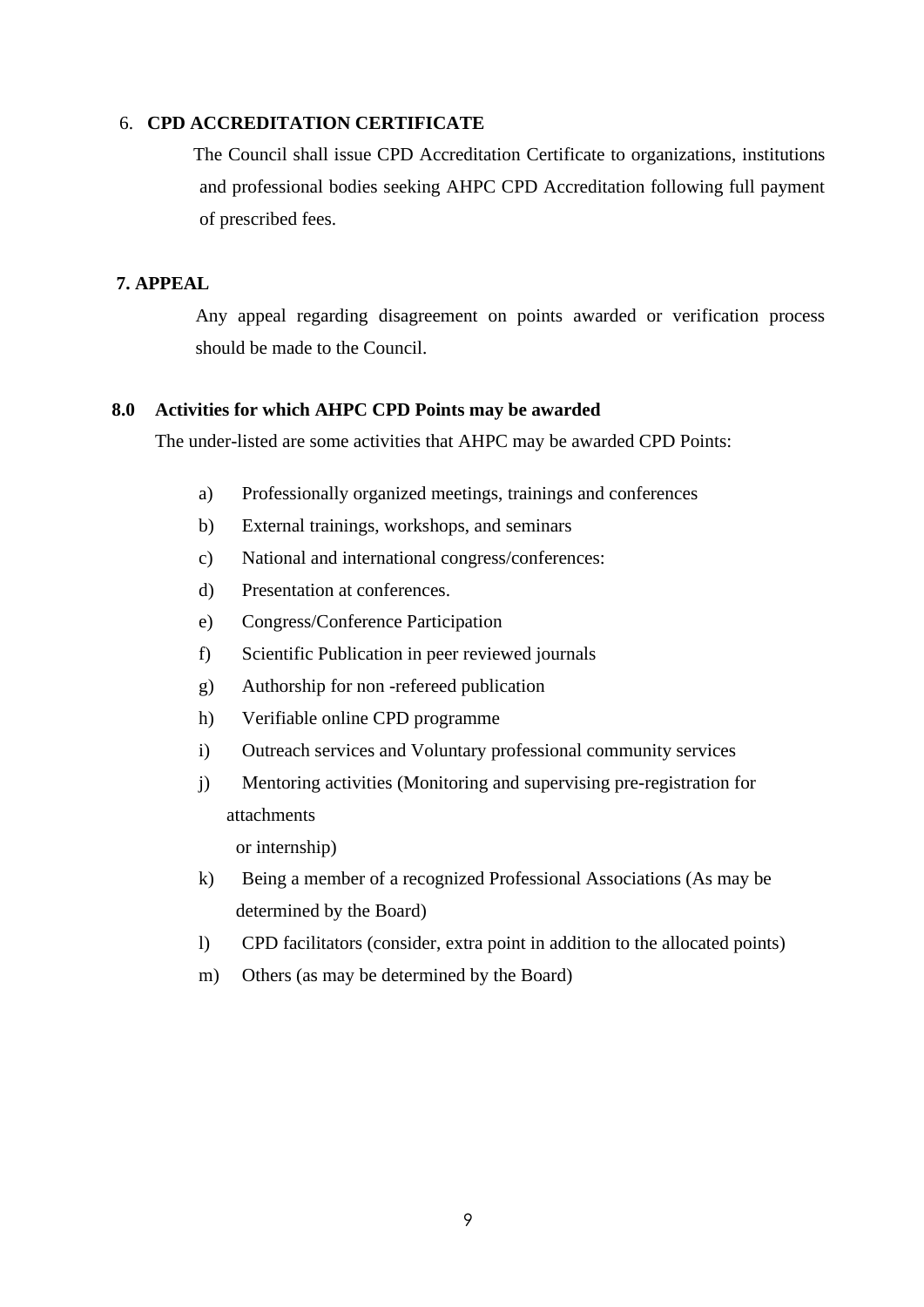#### 6. **CPD ACCREDITATION CERTIFICATE**

The Council shall issue CPD Accreditation Certificate to organizations, institutions and professional bodies seeking AHPC CPD Accreditation following full payment of prescribed fees.

# **7. APPEAL**

Any appeal regarding disagreement on points awarded or verification process should be made to the Council.

#### **8.0 Activities for which AHPC CPD Points may be awarded**

The under-listed are some activities that AHPC may be awarded CPD Points:

- a) Professionally organized meetings, trainings and conferences
- b) External trainings, workshops, and seminars
- c) National and international congress/conferences:
- d) Presentation at conferences.
- e) Congress/Conference Participation
- f) Scientific Publication in peer reviewed journals
- g) Authorship for non -refereed publication
- h) Verifiable online CPD programme
- i) Outreach services and Voluntary professional community services
- j) Mentoring activities (Monitoring and supervising pre-registration for attachments

or internship)

- k) Being a member of a recognized Professional Associations (As may be determined by the Board)
- l) CPD facilitators (consider, extra point in addition to the allocated points)
- m) Others (as may be determined by the Board)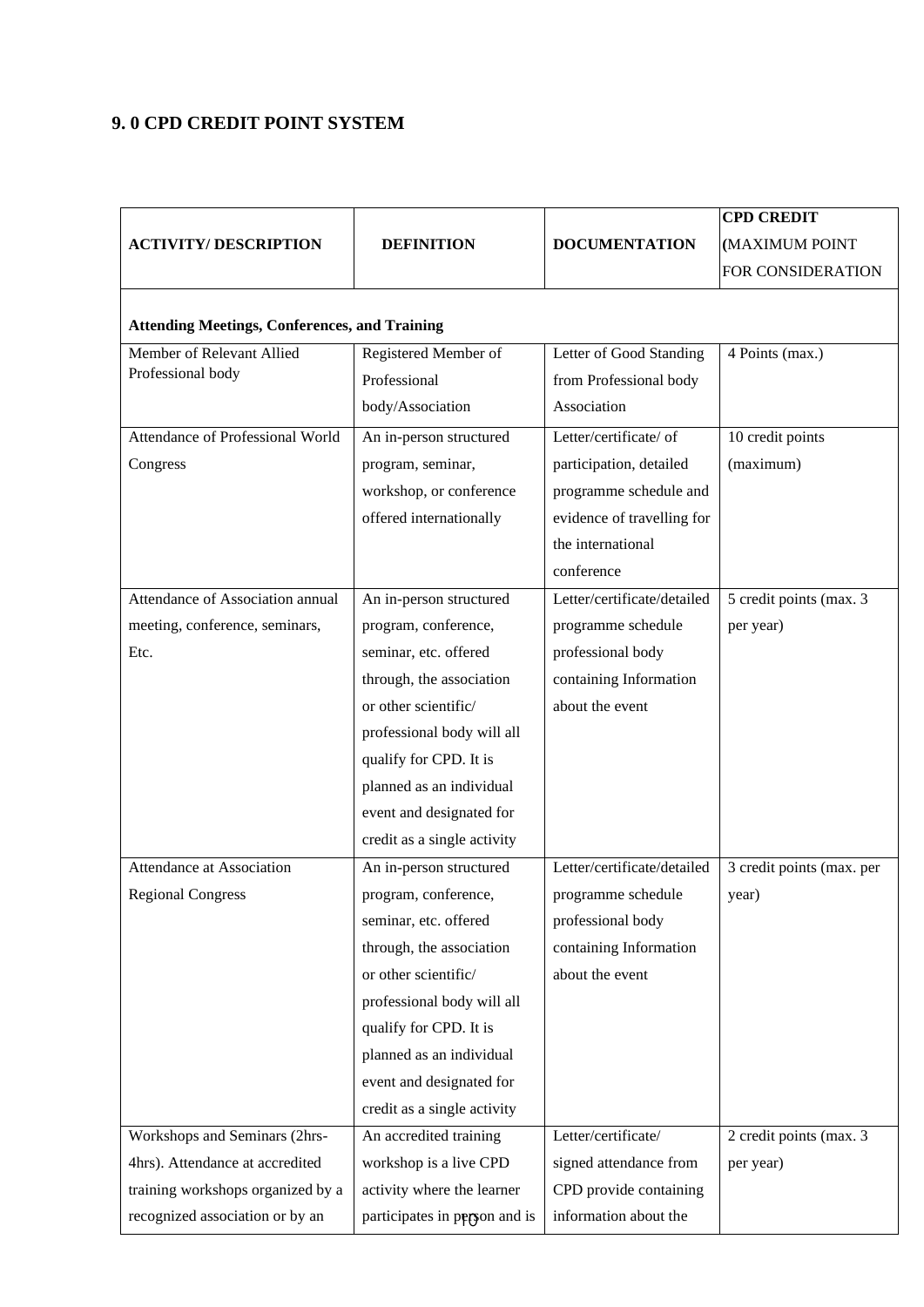# **9. 0 CPD CREDIT POINT SYSTEM**

|                                                      |                               |                             | <b>CPD CREDIT</b>         |
|------------------------------------------------------|-------------------------------|-----------------------------|---------------------------|
| <b>ACTIVITY/DESCRIPTION</b>                          | <b>DEFINITION</b>             | <b>DOCUMENTATION</b>        | (MAXIMUM POINT            |
|                                                      |                               |                             | FOR CONSIDERATION         |
| <b>Attending Meetings, Conferences, and Training</b> |                               |                             |                           |
| Member of Relevant Allied                            | Registered Member of          | Letter of Good Standing     | 4 Points (max.)           |
| Professional body                                    | Professional                  | from Professional body      |                           |
|                                                      | body/Association              | Association                 |                           |
| Attendance of Professional World                     | An in-person structured       | Letter/certificate/ of      | 10 credit points          |
| Congress                                             | program, seminar,             | participation, detailed     | (maximum)                 |
|                                                      | workshop, or conference       | programme schedule and      |                           |
|                                                      | offered internationally       | evidence of travelling for  |                           |
|                                                      |                               | the international           |                           |
|                                                      |                               | conference                  |                           |
| Attendance of Association annual                     | An in-person structured       | Letter/certificate/detailed | 5 credit points (max. 3)  |
| meeting, conference, seminars,                       | program, conference,          | programme schedule          | per year)                 |
| Etc.                                                 | seminar, etc. offered         | professional body           |                           |
|                                                      | through, the association      | containing Information      |                           |
|                                                      | or other scientific/          | about the event             |                           |
|                                                      | professional body will all    |                             |                           |
|                                                      | qualify for CPD. It is        |                             |                           |
|                                                      | planned as an individual      |                             |                           |
|                                                      | event and designated for      |                             |                           |
|                                                      | credit as a single activity   |                             |                           |
| Attendance at Association                            | An in-person structured       | Letter/certificate/detailed | 3 credit points (max. per |
| <b>Regional Congress</b>                             | program, conference,          | programme schedule          | year)                     |
|                                                      | seminar, etc. offered         | professional body           |                           |
|                                                      | through, the association      | containing Information      |                           |
|                                                      | or other scientific/          | about the event             |                           |
|                                                      | professional body will all    |                             |                           |
|                                                      | qualify for CPD. It is        |                             |                           |
|                                                      | planned as an individual      |                             |                           |
|                                                      | event and designated for      |                             |                           |
|                                                      | credit as a single activity   |                             |                           |
| Workshops and Seminars (2hrs-                        | An accredited training        | Letter/certificate/         | 2 credit points (max. 3   |
| 4hrs). Attendance at accredited                      | workshop is a live CPD        | signed attendance from      | per year)                 |
| training workshops organized by a                    | activity where the learner    | CPD provide containing      |                           |
| recognized association or by an                      | participates in person and is | information about the       |                           |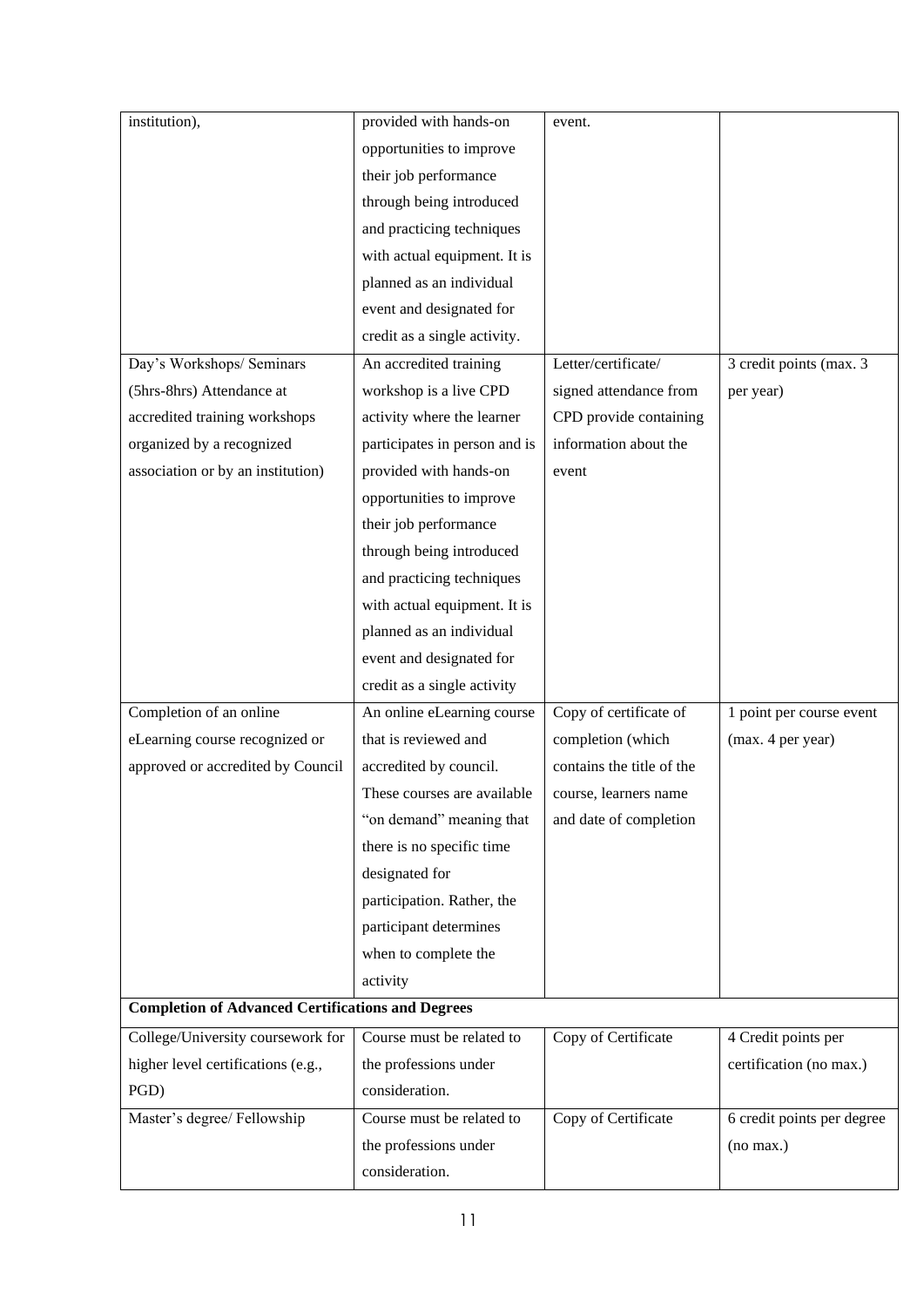| institution),                                            | provided with hands-on        | event.                    |                            |
|----------------------------------------------------------|-------------------------------|---------------------------|----------------------------|
|                                                          | opportunities to improve      |                           |                            |
|                                                          | their job performance         |                           |                            |
|                                                          | through being introduced      |                           |                            |
|                                                          | and practicing techniques     |                           |                            |
|                                                          | with actual equipment. It is  |                           |                            |
|                                                          | planned as an individual      |                           |                            |
|                                                          | event and designated for      |                           |                            |
|                                                          | credit as a single activity.  |                           |                            |
| Day's Workshops/ Seminars                                | An accredited training        | Letter/certificate/       | 3 credit points (max. 3    |
| (5hrs-8hrs) Attendance at                                | workshop is a live CPD        | signed attendance from    | per year)                  |
| accredited training workshops                            | activity where the learner    | CPD provide containing    |                            |
| organized by a recognized                                | participates in person and is | information about the     |                            |
| association or by an institution)                        | provided with hands-on        | event                     |                            |
|                                                          | opportunities to improve      |                           |                            |
|                                                          | their job performance         |                           |                            |
|                                                          | through being introduced      |                           |                            |
|                                                          | and practicing techniques     |                           |                            |
|                                                          | with actual equipment. It is  |                           |                            |
|                                                          | planned as an individual      |                           |                            |
|                                                          | event and designated for      |                           |                            |
|                                                          | credit as a single activity   |                           |                            |
| Completion of an online                                  | An online eLearning course    | Copy of certificate of    | 1 point per course event   |
| eLearning course recognized or                           | that is reviewed and          | completion (which         | (max. 4 per year)          |
| approved or accredited by Council                        | accredited by council.        | contains the title of the |                            |
|                                                          | These courses are available   | course, learners name     |                            |
|                                                          | "on demand" meaning that      | and date of completion    |                            |
|                                                          | there is no specific time     |                           |                            |
|                                                          | designated for                |                           |                            |
|                                                          | participation. Rather, the    |                           |                            |
|                                                          | participant determines        |                           |                            |
|                                                          | when to complete the          |                           |                            |
|                                                          | activity                      |                           |                            |
| <b>Completion of Advanced Certifications and Degrees</b> |                               |                           |                            |
| College/University coursework for                        | Course must be related to     | Copy of Certificate       | 4 Credit points per        |
| higher level certifications (e.g.,                       | the professions under         |                           | certification (no max.)    |
| PGD)                                                     | consideration.                |                           |                            |
| Master's degree/ Fellowship                              | Course must be related to     | Copy of Certificate       | 6 credit points per degree |
|                                                          | the professions under         |                           | (no max.)                  |
|                                                          | consideration.                |                           |                            |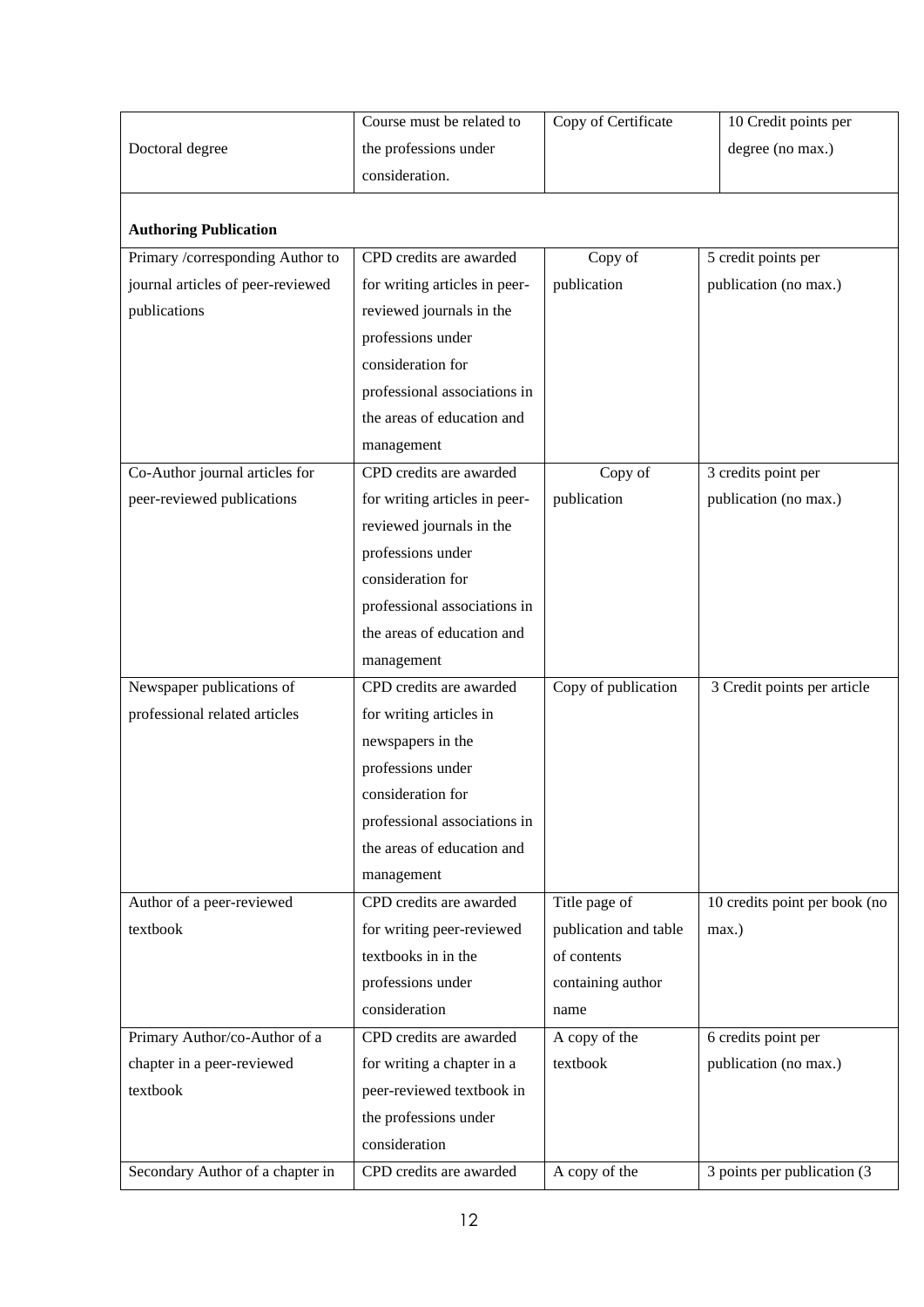|                                                                                                      | Course must be related to                                                                                                                                                                              | Copy of Certificate                                                          | 10 Credit points per                                                                   |
|------------------------------------------------------------------------------------------------------|--------------------------------------------------------------------------------------------------------------------------------------------------------------------------------------------------------|------------------------------------------------------------------------------|----------------------------------------------------------------------------------------|
|                                                                                                      |                                                                                                                                                                                                        |                                                                              |                                                                                        |
| Doctoral degree                                                                                      | the professions under                                                                                                                                                                                  |                                                                              | degree (no max.)                                                                       |
|                                                                                                      | consideration.                                                                                                                                                                                         |                                                                              |                                                                                        |
|                                                                                                      |                                                                                                                                                                                                        |                                                                              |                                                                                        |
| <b>Authoring Publication</b>                                                                         |                                                                                                                                                                                                        |                                                                              |                                                                                        |
| Primary /corresponding Author to                                                                     | CPD credits are awarded                                                                                                                                                                                | Copy of                                                                      | 5 credit points per                                                                    |
| journal articles of peer-reviewed                                                                    | for writing articles in peer-                                                                                                                                                                          | publication                                                                  | publication (no max.)                                                                  |
| publications                                                                                         | reviewed journals in the                                                                                                                                                                               |                                                                              |                                                                                        |
|                                                                                                      | professions under                                                                                                                                                                                      |                                                                              |                                                                                        |
|                                                                                                      | consideration for                                                                                                                                                                                      |                                                                              |                                                                                        |
|                                                                                                      | professional associations in                                                                                                                                                                           |                                                                              |                                                                                        |
|                                                                                                      | the areas of education and                                                                                                                                                                             |                                                                              |                                                                                        |
|                                                                                                      | management                                                                                                                                                                                             |                                                                              |                                                                                        |
| Co-Author journal articles for                                                                       | CPD credits are awarded                                                                                                                                                                                | Copy of                                                                      | 3 credits point per                                                                    |
| peer-reviewed publications                                                                           | for writing articles in peer-                                                                                                                                                                          | publication                                                                  | publication (no max.)                                                                  |
|                                                                                                      | reviewed journals in the                                                                                                                                                                               |                                                                              |                                                                                        |
|                                                                                                      | professions under                                                                                                                                                                                      |                                                                              |                                                                                        |
|                                                                                                      | consideration for                                                                                                                                                                                      |                                                                              |                                                                                        |
|                                                                                                      | professional associations in                                                                                                                                                                           |                                                                              |                                                                                        |
|                                                                                                      | the areas of education and                                                                                                                                                                             |                                                                              |                                                                                        |
|                                                                                                      | management                                                                                                                                                                                             |                                                                              |                                                                                        |
| Newspaper publications of                                                                            | CPD credits are awarded                                                                                                                                                                                | Copy of publication                                                          | 3 Credit points per article                                                            |
| professional related articles                                                                        | for writing articles in                                                                                                                                                                                |                                                                              |                                                                                        |
|                                                                                                      | newspapers in the                                                                                                                                                                                      |                                                                              |                                                                                        |
|                                                                                                      | professions under                                                                                                                                                                                      |                                                                              |                                                                                        |
| consideration for                                                                                    |                                                                                                                                                                                                        |                                                                              |                                                                                        |
|                                                                                                      | professional associations in                                                                                                                                                                           |                                                                              |                                                                                        |
|                                                                                                      | the areas of education and                                                                                                                                                                             |                                                                              |                                                                                        |
|                                                                                                      |                                                                                                                                                                                                        |                                                                              |                                                                                        |
|                                                                                                      |                                                                                                                                                                                                        |                                                                              |                                                                                        |
|                                                                                                      |                                                                                                                                                                                                        |                                                                              |                                                                                        |
|                                                                                                      | textbooks in in the                                                                                                                                                                                    | of contents                                                                  |                                                                                        |
|                                                                                                      |                                                                                                                                                                                                        |                                                                              |                                                                                        |
|                                                                                                      | consideration                                                                                                                                                                                          | name                                                                         |                                                                                        |
|                                                                                                      |                                                                                                                                                                                                        |                                                                              |                                                                                        |
|                                                                                                      |                                                                                                                                                                                                        | textbook                                                                     |                                                                                        |
| textbook                                                                                             |                                                                                                                                                                                                        |                                                                              |                                                                                        |
|                                                                                                      |                                                                                                                                                                                                        |                                                                              |                                                                                        |
|                                                                                                      | consideration                                                                                                                                                                                          |                                                                              |                                                                                        |
| Secondary Author of a chapter in                                                                     | CPD credits are awarded                                                                                                                                                                                | A copy of the                                                                | 3 points per publication (3                                                            |
| Author of a peer-reviewed<br>textbook<br>Primary Author/co-Author of a<br>chapter in a peer-reviewed | management<br>CPD credits are awarded<br>for writing peer-reviewed<br>professions under<br>CPD credits are awarded<br>for writing a chapter in a<br>peer-reviewed textbook in<br>the professions under | Title page of<br>publication and table<br>containing author<br>A copy of the | 10 credits point per book (no<br>max.)<br>6 credits point per<br>publication (no max.) |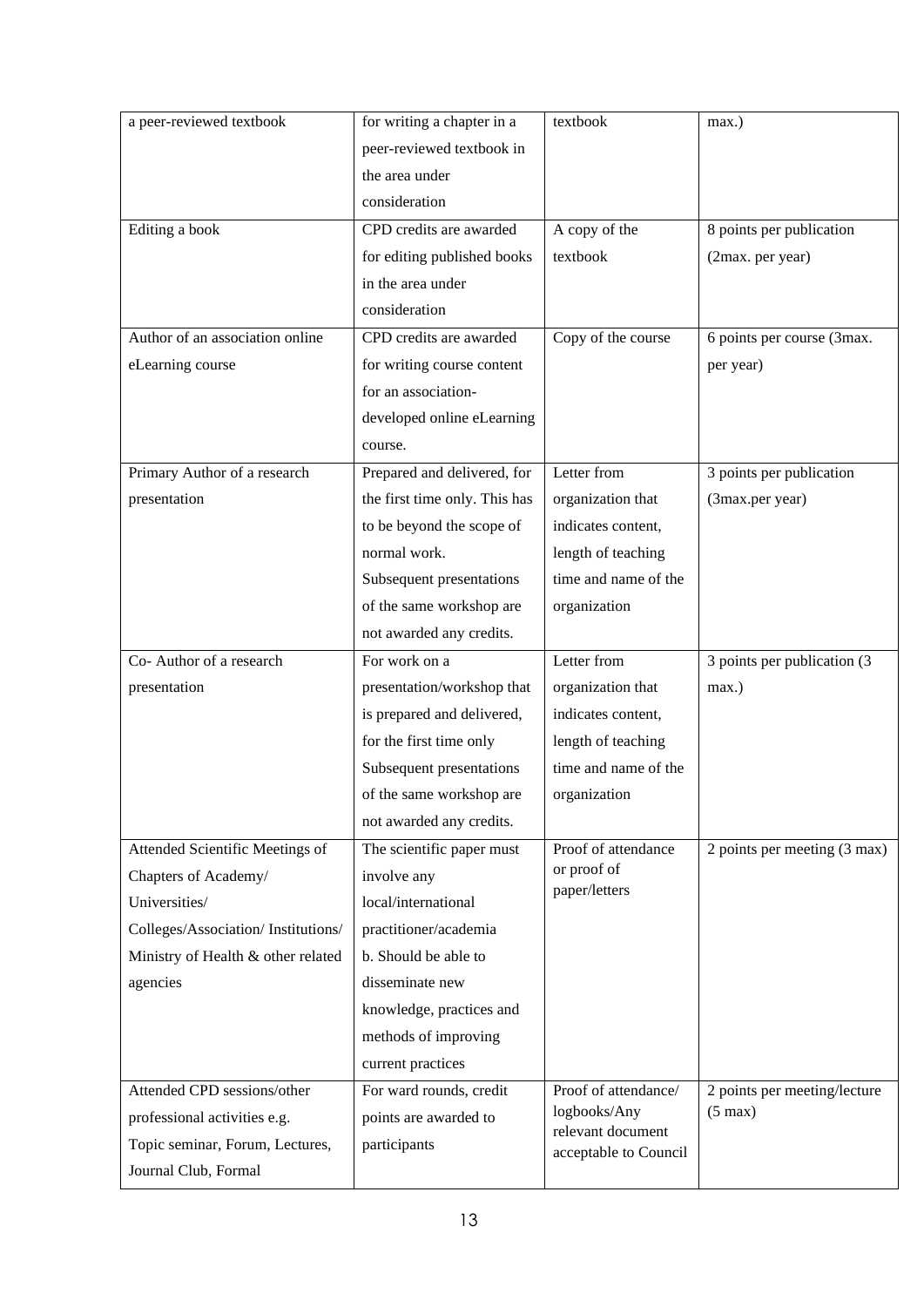| a peer-reviewed textbook           | for writing a chapter in a    | textbook                          | max.)                        |
|------------------------------------|-------------------------------|-----------------------------------|------------------------------|
|                                    | peer-reviewed textbook in     |                                   |                              |
|                                    | the area under                |                                   |                              |
|                                    | consideration                 |                                   |                              |
| Editing a book                     | CPD credits are awarded       | A copy of the                     | 8 points per publication     |
|                                    | for editing published books   | textbook                          | (2max. per year)             |
|                                    | in the area under             |                                   |                              |
|                                    | consideration                 |                                   |                              |
| Author of an association online    | CPD credits are awarded       | Copy of the course                | 6 points per course (3max.   |
| eLearning course                   | for writing course content    |                                   | per year)                    |
|                                    | for an association-           |                                   |                              |
|                                    | developed online eLearning    |                                   |                              |
|                                    | course.                       |                                   |                              |
| Primary Author of a research       | Prepared and delivered, for   | Letter from                       | 3 points per publication     |
| presentation                       | the first time only. This has | organization that                 | (3max.per year)              |
|                                    | to be beyond the scope of     | indicates content,                |                              |
|                                    | normal work.                  | length of teaching                |                              |
|                                    | Subsequent presentations      | time and name of the              |                              |
|                                    | of the same workshop are      | organization                      |                              |
|                                    | not awarded any credits.      |                                   |                              |
| Co-Author of a research            | For work on a                 | Letter from                       | 3 points per publication (3) |
| presentation                       | presentation/workshop that    | organization that                 | max.)                        |
|                                    | is prepared and delivered,    | indicates content,                |                              |
|                                    | for the first time only       | length of teaching                |                              |
|                                    | Subsequent presentations      | time and name of the              |                              |
|                                    | of the same workshop are      | organization                      |                              |
|                                    | not awarded any credits.      |                                   |                              |
| Attended Scientific Meetings of    | The scientific paper must     | Proof of attendance               | 2 points per meeting (3 max) |
| Chapters of Academy/               | involve any                   | or proof of<br>paper/letters      |                              |
| Universities/                      | local/international           |                                   |                              |
| Colleges/Association/Institutions/ | practitioner/academia         |                                   |                              |
| Ministry of Health & other related | b. Should be able to          |                                   |                              |
| agencies                           | disseminate new               |                                   |                              |
|                                    | knowledge, practices and      |                                   |                              |
|                                    | methods of improving          |                                   |                              |
|                                    | current practices             |                                   |                              |
| Attended CPD sessions/other        | For ward rounds, credit       | Proof of attendance/              | 2 points per meeting/lecture |
| professional activities e.g.       | points are awarded to         | logbooks/Any<br>relevant document | $(5 \text{ max})$            |
| Topic seminar, Forum, Lectures,    | participants                  | acceptable to Council             |                              |
|                                    |                               |                                   |                              |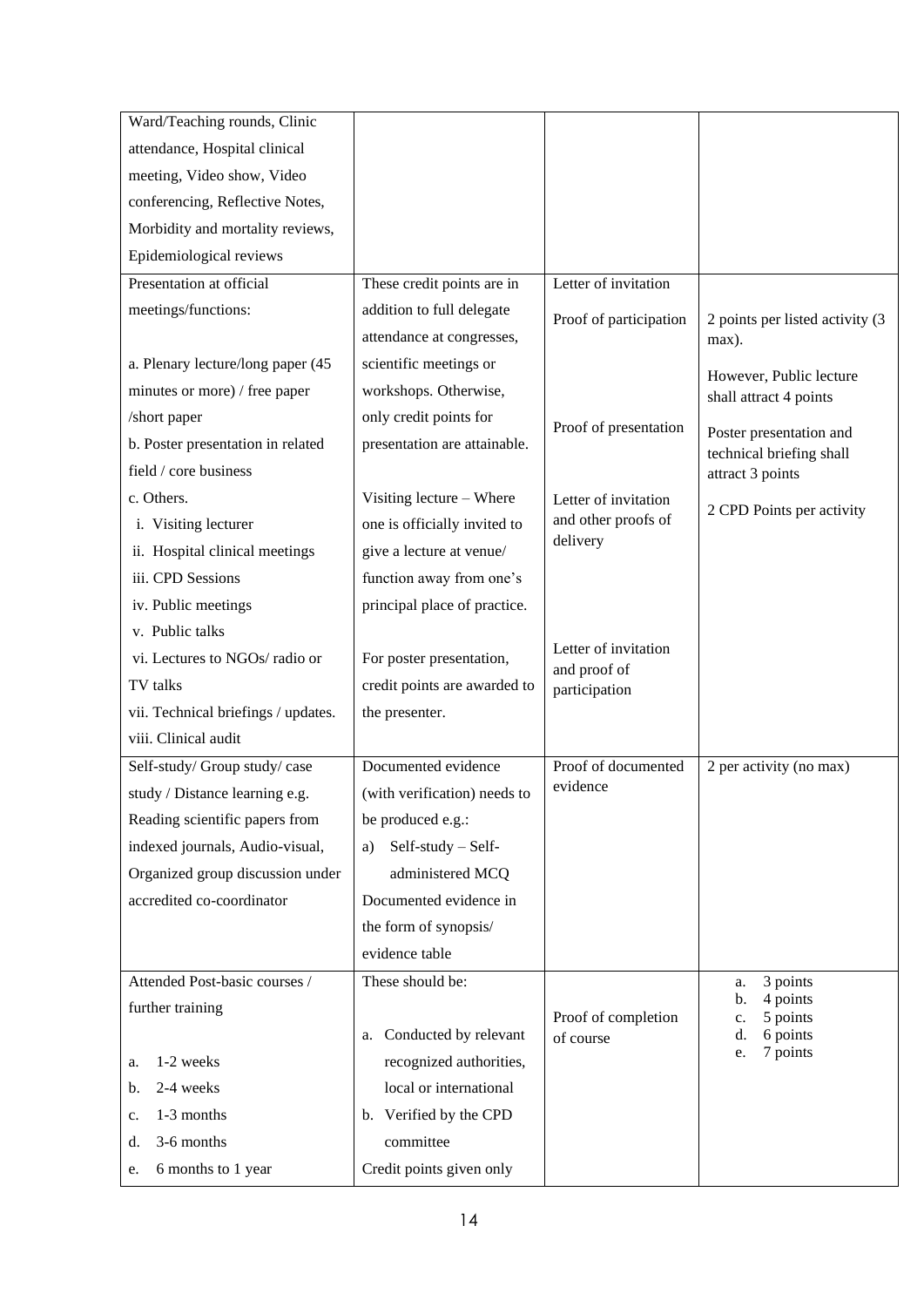| Ward/Teaching rounds, Clinic        |                              |                                      |                                                     |  |
|-------------------------------------|------------------------------|--------------------------------------|-----------------------------------------------------|--|
| attendance, Hospital clinical       |                              |                                      |                                                     |  |
| meeting, Video show, Video          |                              |                                      |                                                     |  |
| conferencing, Reflective Notes,     |                              |                                      |                                                     |  |
| Morbidity and mortality reviews,    |                              |                                      |                                                     |  |
| Epidemiological reviews             |                              |                                      |                                                     |  |
| Presentation at official            | These credit points are in   | Letter of invitation                 |                                                     |  |
| meetings/functions:                 | addition to full delegate    | Proof of participation               | 2 points per listed activity (3                     |  |
|                                     | attendance at congresses,    |                                      | max).                                               |  |
| a. Plenary lecture/long paper (45   | scientific meetings or       |                                      | However, Public lecture                             |  |
| minutes or more) / free paper       | workshops. Otherwise,        |                                      | shall attract 4 points                              |  |
| /short paper                        | only credit points for       | Proof of presentation                |                                                     |  |
| b. Poster presentation in related   | presentation are attainable. |                                      | Poster presentation and<br>technical briefing shall |  |
| field / core business               |                              |                                      | attract 3 points                                    |  |
| c. Others.                          | Visiting lecture - Where     | Letter of invitation                 | 2 CPD Points per activity                           |  |
| i. Visiting lecturer                | one is officially invited to | and other proofs of                  |                                                     |  |
| ii. Hospital clinical meetings      | give a lecture at venue/     | delivery                             |                                                     |  |
| iii. CPD Sessions                   | function away from one's     |                                      |                                                     |  |
| iv. Public meetings                 | principal place of practice. |                                      |                                                     |  |
| v. Public talks                     |                              |                                      |                                                     |  |
| vi. Lectures to NGOs/radio or       | For poster presentation,     | Letter of invitation<br>and proof of |                                                     |  |
| TV talks                            | credit points are awarded to | participation                        |                                                     |  |
| vii. Technical briefings / updates. | the presenter.               |                                      |                                                     |  |
| viii. Clinical audit                |                              |                                      |                                                     |  |
| Self-study/ Group study/ case       | Documented evidence          | Proof of documented                  | 2 per activity (no max)                             |  |
| study / Distance learning e.g.      | (with verification) needs to | evidence                             |                                                     |  |
| Reading scientific papers from      | be produced e.g.:            |                                      |                                                     |  |
| indexed journals, Audio-visual,     | Self-study - Self-<br>a)     |                                      |                                                     |  |
| Organized group discussion under    | administered MCQ             |                                      |                                                     |  |
| accredited co-coordinator           | Documented evidence in       |                                      |                                                     |  |
|                                     | the form of synopsis/        |                                      |                                                     |  |
|                                     | evidence table               |                                      |                                                     |  |
| Attended Post-basic courses /       | These should be:             |                                      | 3 points<br>a.                                      |  |
| further training                    |                              | Proof of completion                  | 4 points<br>b.<br>5 points<br>$\mathbf{c}$ .        |  |
|                                     | a. Conducted by relevant     | of course                            | 6 points<br>d.                                      |  |
| 1-2 weeks<br>a.                     | recognized authorities,      |                                      | 7 points<br>e.                                      |  |
| 2-4 weeks<br>b.                     | local or international       |                                      |                                                     |  |
| 1-3 months<br>c.                    | b. Verified by the CPD       |                                      |                                                     |  |
| 3-6 months<br>d.                    | committee                    |                                      |                                                     |  |
| 6 months to 1 year<br>e.            | Credit points given only     |                                      |                                                     |  |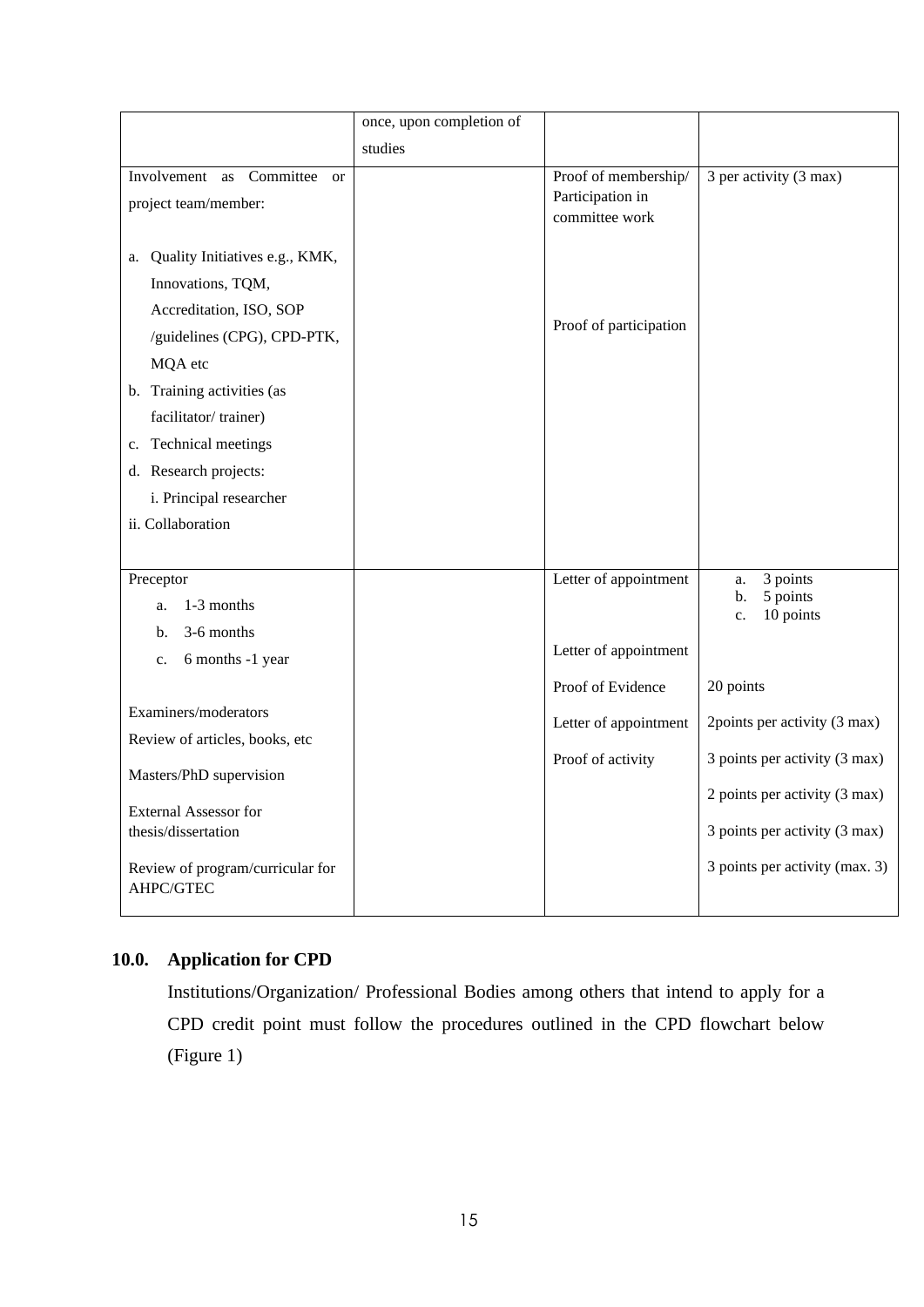|                                                                                                                                                                                                                                                                                     | once, upon completion of |                                                                     |                                                                                                                                                                                |
|-------------------------------------------------------------------------------------------------------------------------------------------------------------------------------------------------------------------------------------------------------------------------------------|--------------------------|---------------------------------------------------------------------|--------------------------------------------------------------------------------------------------------------------------------------------------------------------------------|
|                                                                                                                                                                                                                                                                                     | studies                  |                                                                     |                                                                                                                                                                                |
| Involvement as<br>Committee<br><b>or</b><br>project team/member:                                                                                                                                                                                                                    |                          | Proof of membership/<br>Participation in<br>committee work          | 3 per activity (3 max)                                                                                                                                                         |
| a. Quality Initiatives e.g., KMK,<br>Innovations, TQM,<br>Accreditation, ISO, SOP<br>/guidelines (CPG), CPD-PTK,<br>MQA etc<br>b. Training activities (as<br>facilitator/trainer)<br>c. Technical meetings<br>d. Research projects:<br>i. Principal researcher<br>ii. Collaboration |                          | Proof of participation                                              |                                                                                                                                                                                |
| Preceptor<br>1-3 months<br>a.<br>3-6 months<br>b.<br>6 months -1 year<br>c.                                                                                                                                                                                                         |                          | Letter of appointment<br>Letter of appointment<br>Proof of Evidence | 3 points<br>a.<br>5 points<br>b.<br>10 points<br>c.                                                                                                                            |
| Examiners/moderators<br>Review of articles, books, etc<br>Masters/PhD supervision<br><b>External Assessor for</b><br>thesis/dissertation<br>Review of program/curricular for<br>AHPC/GTEC                                                                                           |                          | Letter of appointment<br>Proof of activity                          | 20 points<br>2points per activity (3 max)<br>3 points per activity (3 max)<br>2 points per activity (3 max)<br>3 points per activity (3 max)<br>3 points per activity (max. 3) |

# **10.0. Application for CPD**

Institutions/Organization/ Professional Bodies among others that intend to apply for a CPD credit point must follow the procedures outlined in the CPD flowchart below (Figure 1)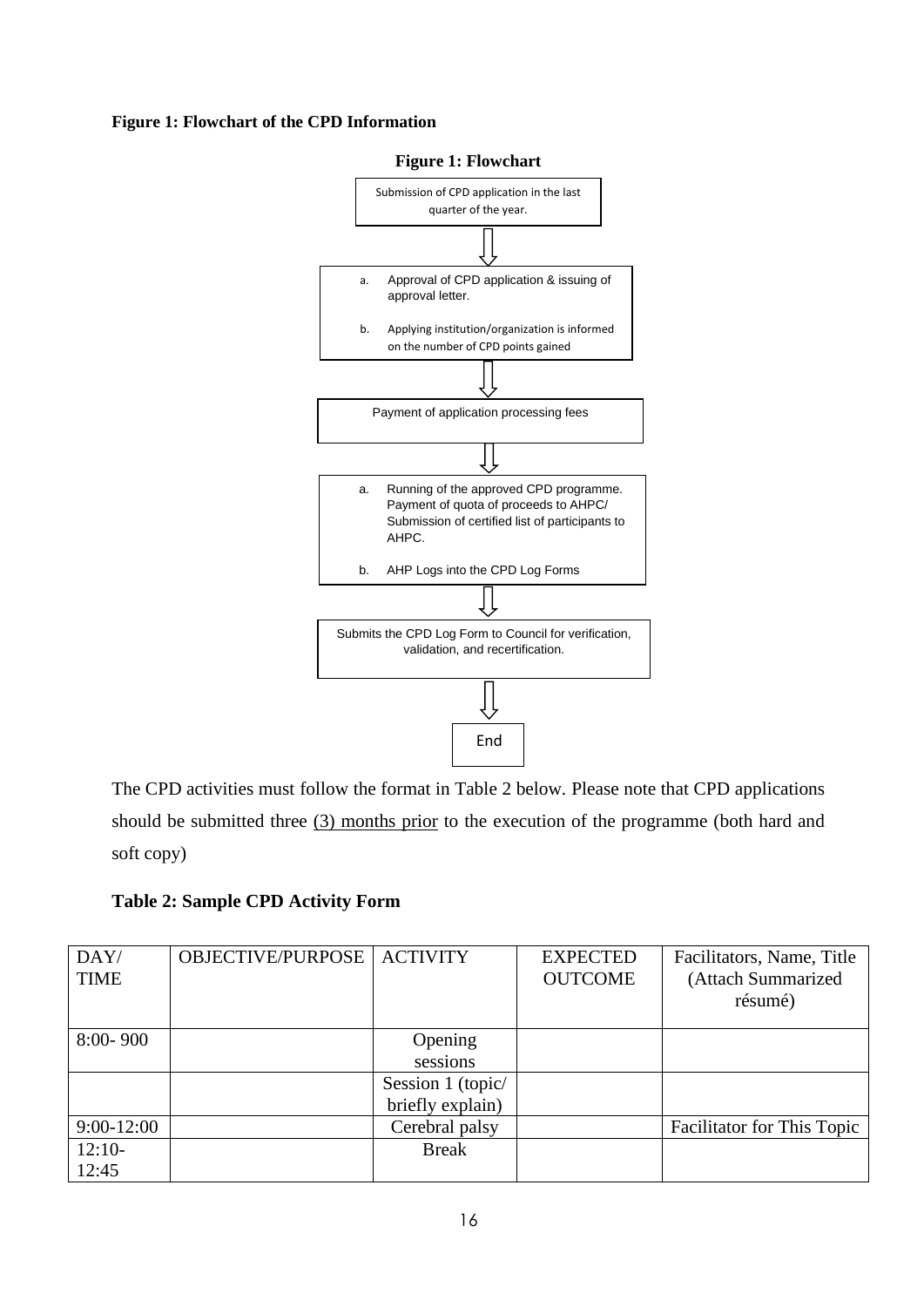#### **Figure 1: Flowchart of the CPD Information**



The CPD activities must follow the format in Table 2 below. Please note that CPD applications should be submitted three (3) months prior to the execution of the programme (both hard and soft copy)

**Table 2: Sample CPD Activity Form**

| DAY/<br><b>TIME</b> | <b>OBJECTIVE/PURPOSE</b> | <b>ACTIVITY</b>   | <b>EXPECTED</b><br><b>OUTCOME</b> | Facilitators, Name, Title<br>(Attach Summarized<br>résumé) |
|---------------------|--------------------------|-------------------|-----------------------------------|------------------------------------------------------------|
| $8:00 - 900$        |                          | Opening           |                                   |                                                            |
|                     |                          | sessions          |                                   |                                                            |
|                     |                          | Session 1 (topic/ |                                   |                                                            |
|                     |                          | briefly explain)  |                                   |                                                            |
| $9:00-12:00$        |                          | Cerebral palsy    |                                   | <b>Facilitator for This Topic</b>                          |
| $12:10-$            |                          | <b>Break</b>      |                                   |                                                            |
| 12:45               |                          |                   |                                   |                                                            |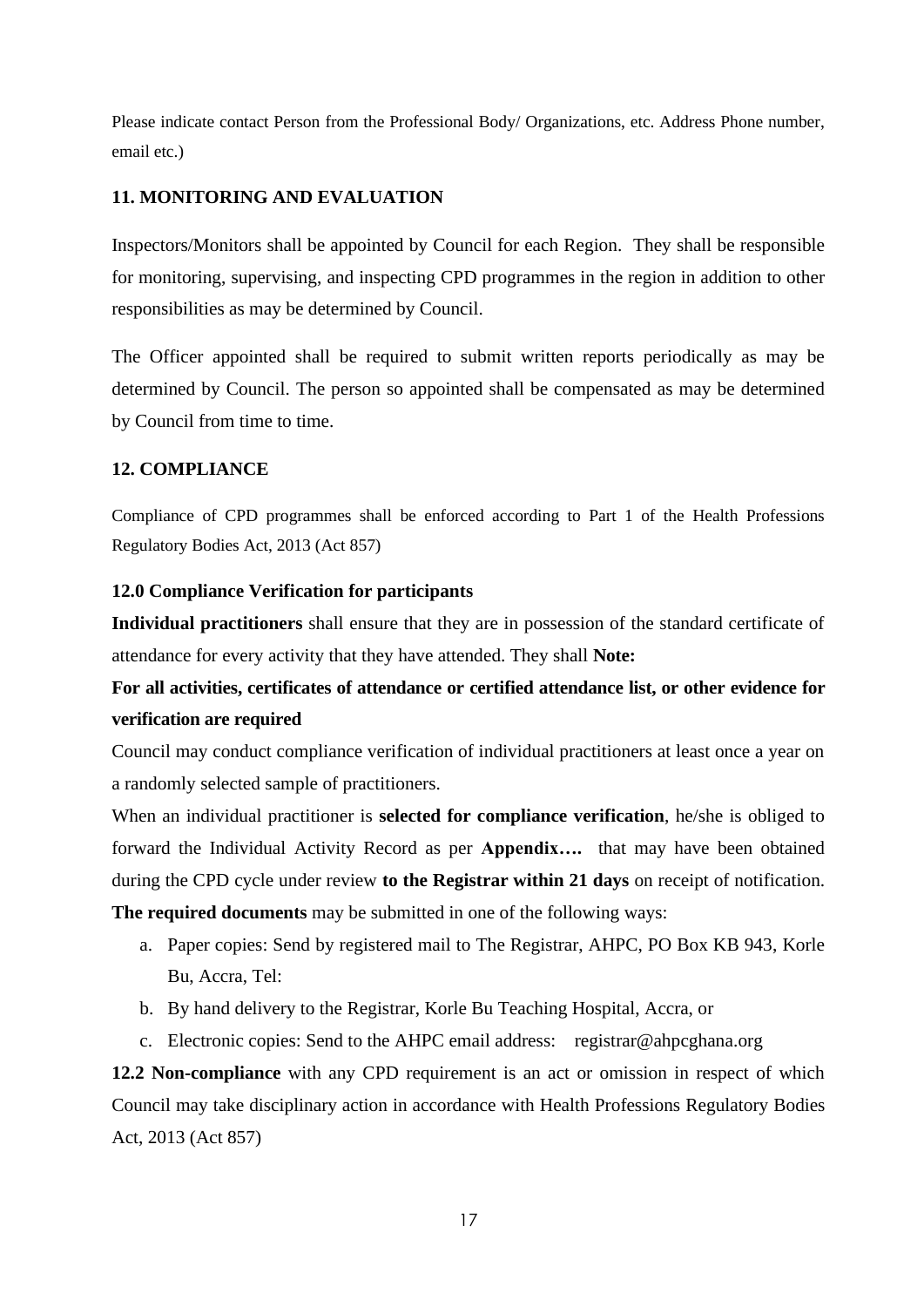Please indicate contact Person from the Professional Body/ Organizations, etc. Address Phone number, email etc.)

# **11. MONITORING AND EVALUATION**

Inspectors/Monitors shall be appointed by Council for each Region. They shall be responsible for monitoring, supervising, and inspecting CPD programmes in the region in addition to other responsibilities as may be determined by Council.

The Officer appointed shall be required to submit written reports periodically as may be determined by Council. The person so appointed shall be compensated as may be determined by Council from time to time.

# **12. COMPLIANCE**

Compliance of CPD programmes shall be enforced according to Part 1 of the Health Professions Regulatory Bodies Act, 2013 (Act 857)

# **12.0 Compliance Verification for participants**

**Individual practitioners** shall ensure that they are in possession of the standard certificate of attendance for every activity that they have attended. They shall **Note:** 

# **For all activities, certificates of attendance or certified attendance list, or other evidence for verification are required**

Council may conduct compliance verification of individual practitioners at least once a year on a randomly selected sample of practitioners.

When an individual practitioner is **selected for compliance verification**, he/she is obliged to forward the Individual Activity Record as per **Appendix….** that may have been obtained during the CPD cycle under review **to the Registrar within 21 days** on receipt of notification.

**The required documents** may be submitted in one of the following ways:

- a. Paper copies: Send by registered mail to The Registrar, AHPC, PO Box KB 943, Korle Bu, Accra, Tel:
- b. By hand delivery to the Registrar, Korle Bu Teaching Hospital, Accra, or
- c. Electronic copies: Send to the AHPC email address: registrar@ahpcghana.org

**12.2 Non-compliance** with any CPD requirement is an act or omission in respect of which Council may take disciplinary action in accordance with Health Professions Regulatory Bodies Act, 2013 (Act 857)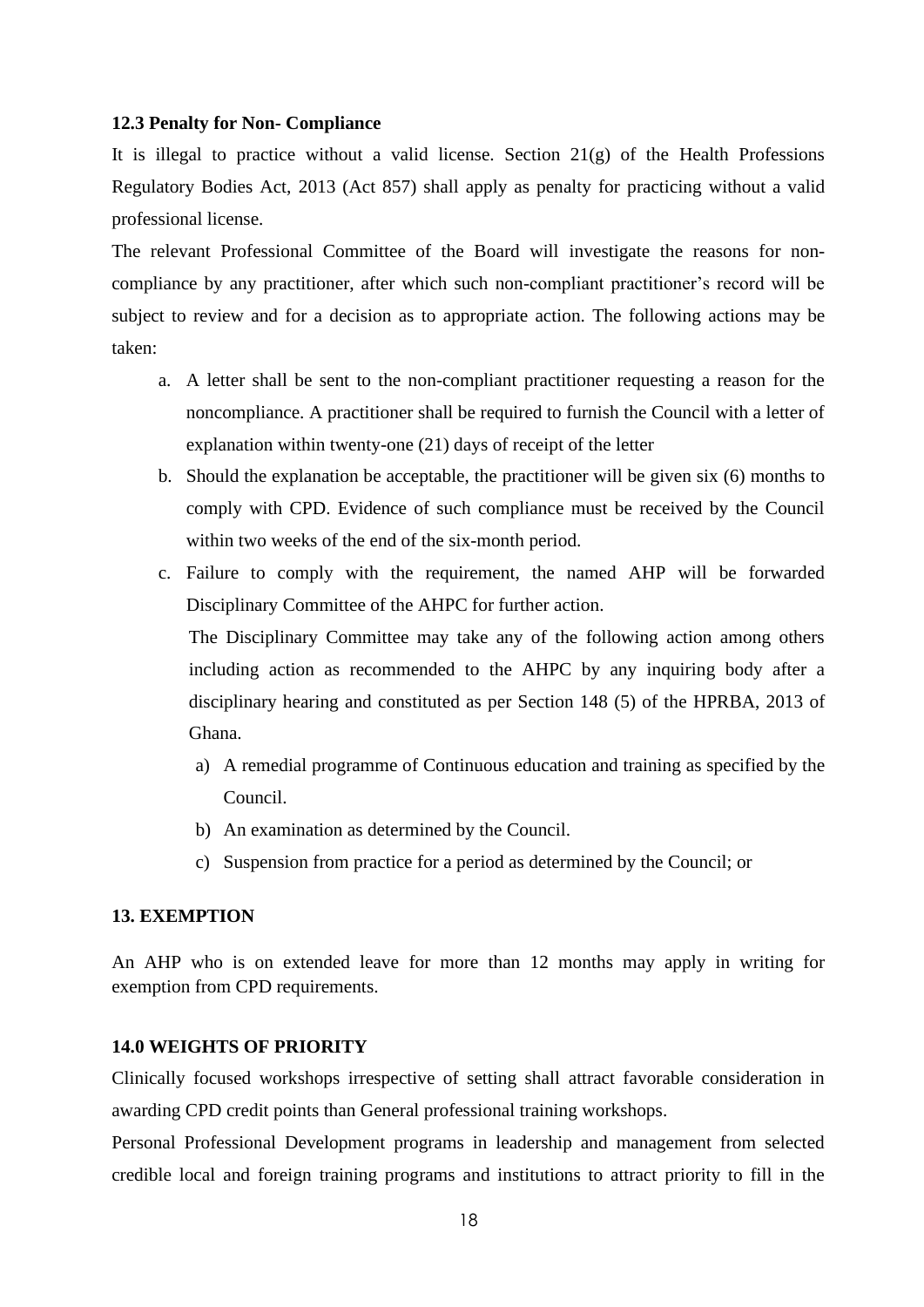#### **12.3 Penalty for Non- Compliance**

It is illegal to practice without a valid license. Section  $21(g)$  of the Health Professions Regulatory Bodies Act, 2013 (Act 857) shall apply as penalty for practicing without a valid professional license.

The relevant Professional Committee of the Board will investigate the reasons for noncompliance by any practitioner, after which such non-compliant practitioner's record will be subject to review and for a decision as to appropriate action. The following actions may be taken:

- a. A letter shall be sent to the non-compliant practitioner requesting a reason for the noncompliance. A practitioner shall be required to furnish the Council with a letter of explanation within twenty-one (21) days of receipt of the letter
- b. Should the explanation be acceptable, the practitioner will be given six (6) months to comply with CPD. Evidence of such compliance must be received by the Council within two weeks of the end of the six-month period.
- c. Failure to comply with the requirement, the named AHP will be forwarded Disciplinary Committee of the AHPC for further action.

The Disciplinary Committee may take any of the following action among others including action as recommended to the AHPC by any inquiring body after a disciplinary hearing and constituted as per Section 148 (5) of the HPRBA, 2013 of Ghana.

- a) A remedial programme of Continuous education and training as specified by the Council.
- b) An examination as determined by the Council.
- c) Suspension from practice for a period as determined by the Council; or

# **13. EXEMPTION**

An AHP who is on extended leave for more than 12 months may apply in writing for exemption from CPD requirements.

# **14.0 WEIGHTS OF PRIORITY**

Clinically focused workshops irrespective of setting shall attract favorable consideration in awarding CPD credit points than General professional training workshops.

Personal Professional Development programs in leadership and management from selected credible local and foreign training programs and institutions to attract priority to fill in the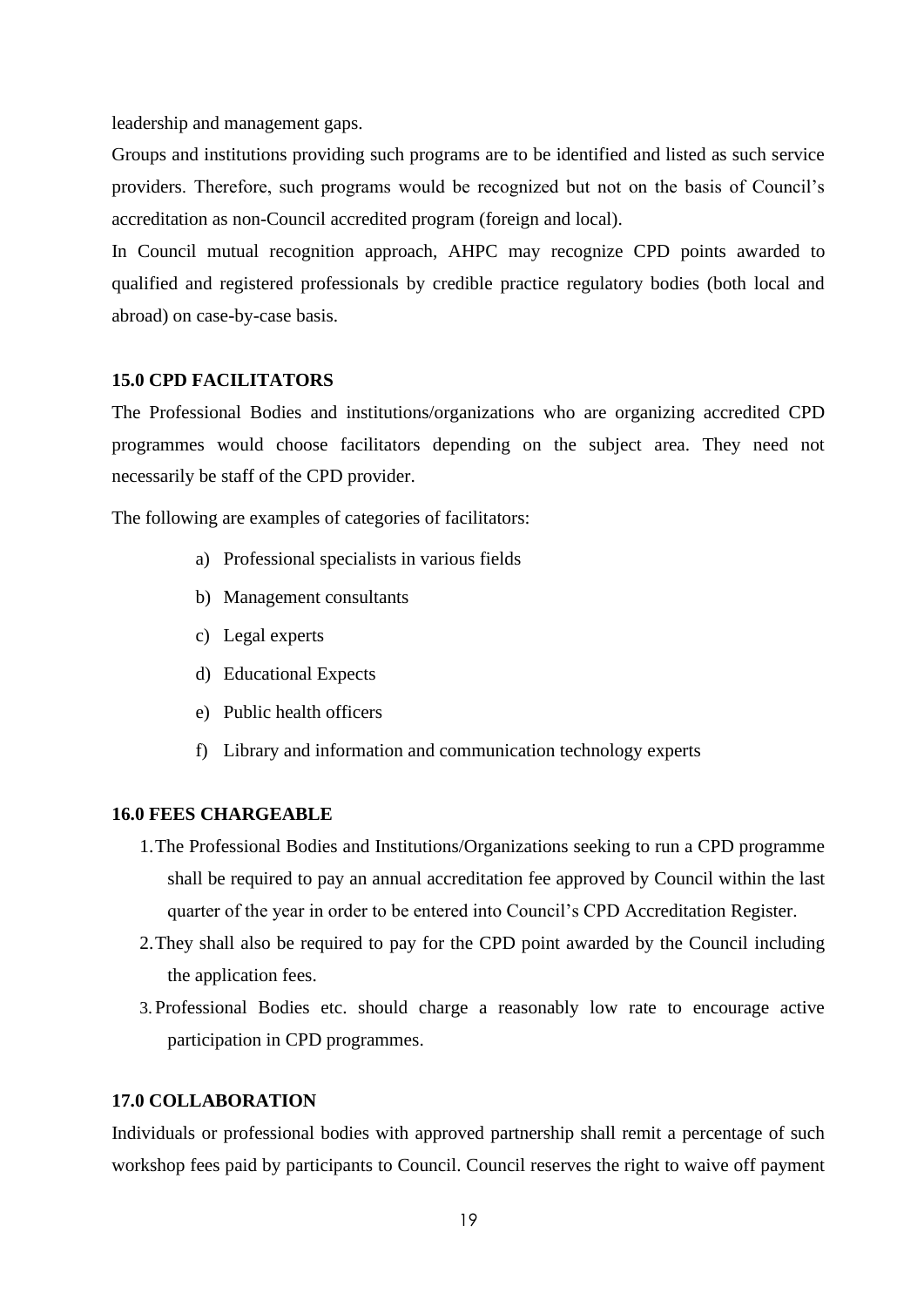leadership and management gaps.

Groups and institutions providing such programs are to be identified and listed as such service providers. Therefore, such programs would be recognized but not on the basis of Council's accreditation as non-Council accredited program (foreign and local).

In Council mutual recognition approach, AHPC may recognize CPD points awarded to qualified and registered professionals by credible practice regulatory bodies (both local and abroad) on case-by-case basis.

#### **15.0 CPD FACILITATORS**

The Professional Bodies and institutions/organizations who are organizing accredited CPD programmes would choose facilitators depending on the subject area. They need not necessarily be staff of the CPD provider.

The following are examples of categories of facilitators:

- a) Professional specialists in various fields
- b) Management consultants
- c) Legal experts
- d) Educational Expects
- e) Public health officers
- f) Library and information and communication technology experts

## **16.0 FEES CHARGEABLE**

- 1.The Professional Bodies and Institutions/Organizations seeking to run a CPD programme shall be required to pay an annual accreditation fee approved by Council within the last quarter of the year in order to be entered into Council's CPD Accreditation Register.
- 2.They shall also be required to pay for the CPD point awarded by the Council including the application fees.
- 3. Professional Bodies etc. should charge a reasonably low rate to encourage active participation in CPD programmes.

# **17.0 COLLABORATION**

Individuals or professional bodies with approved partnership shall remit a percentage of such workshop fees paid by participants to Council. Council reserves the right to waive off payment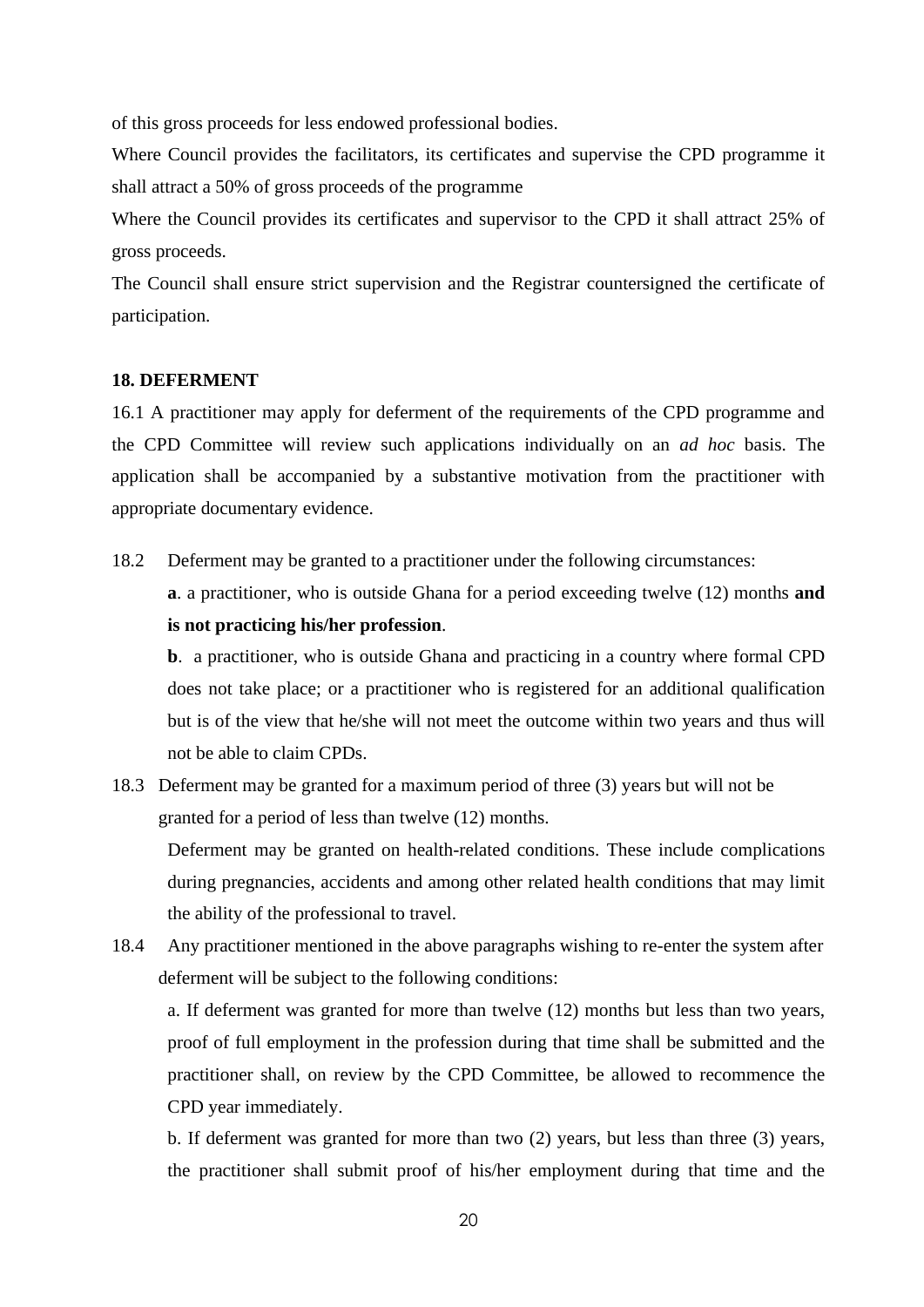of this gross proceeds for less endowed professional bodies.

Where Council provides the facilitators, its certificates and supervise the CPD programme it shall attract a 50% of gross proceeds of the programme

Where the Council provides its certificates and supervisor to the CPD it shall attract 25% of gross proceeds.

The Council shall ensure strict supervision and the Registrar countersigned the certificate of participation.

#### **18. DEFERMENT**

16.1 A practitioner may apply for deferment of the requirements of the CPD programme and the CPD Committee will review such applications individually on an *ad hoc* basis. The application shall be accompanied by a substantive motivation from the practitioner with appropriate documentary evidence.

18.2 Deferment may be granted to a practitioner under the following circumstances:

**a**. a practitioner, who is outside Ghana for a period exceeding twelve (12) months **and is not practicing his/her profession**.

**b**. a practitioner, who is outside Ghana and practicing in a country where formal CPD does not take place; or a practitioner who is registered for an additional qualification but is of the view that he/she will not meet the outcome within two years and thus will not be able to claim CPDs.

18.3 Deferment may be granted for a maximum period of three (3) years but will not be granted for a period of less than twelve (12) months.

Deferment may be granted on health-related conditions. These include complications during pregnancies, accidents and among other related health conditions that may limit the ability of the professional to travel.

18.4 Any practitioner mentioned in the above paragraphs wishing to re-enter the system after deferment will be subject to the following conditions:

a. If deferment was granted for more than twelve (12) months but less than two years, proof of full employment in the profession during that time shall be submitted and the practitioner shall, on review by the CPD Committee, be allowed to recommence the CPD year immediately.

b. If deferment was granted for more than two (2) years, but less than three (3) years, the practitioner shall submit proof of his/her employment during that time and the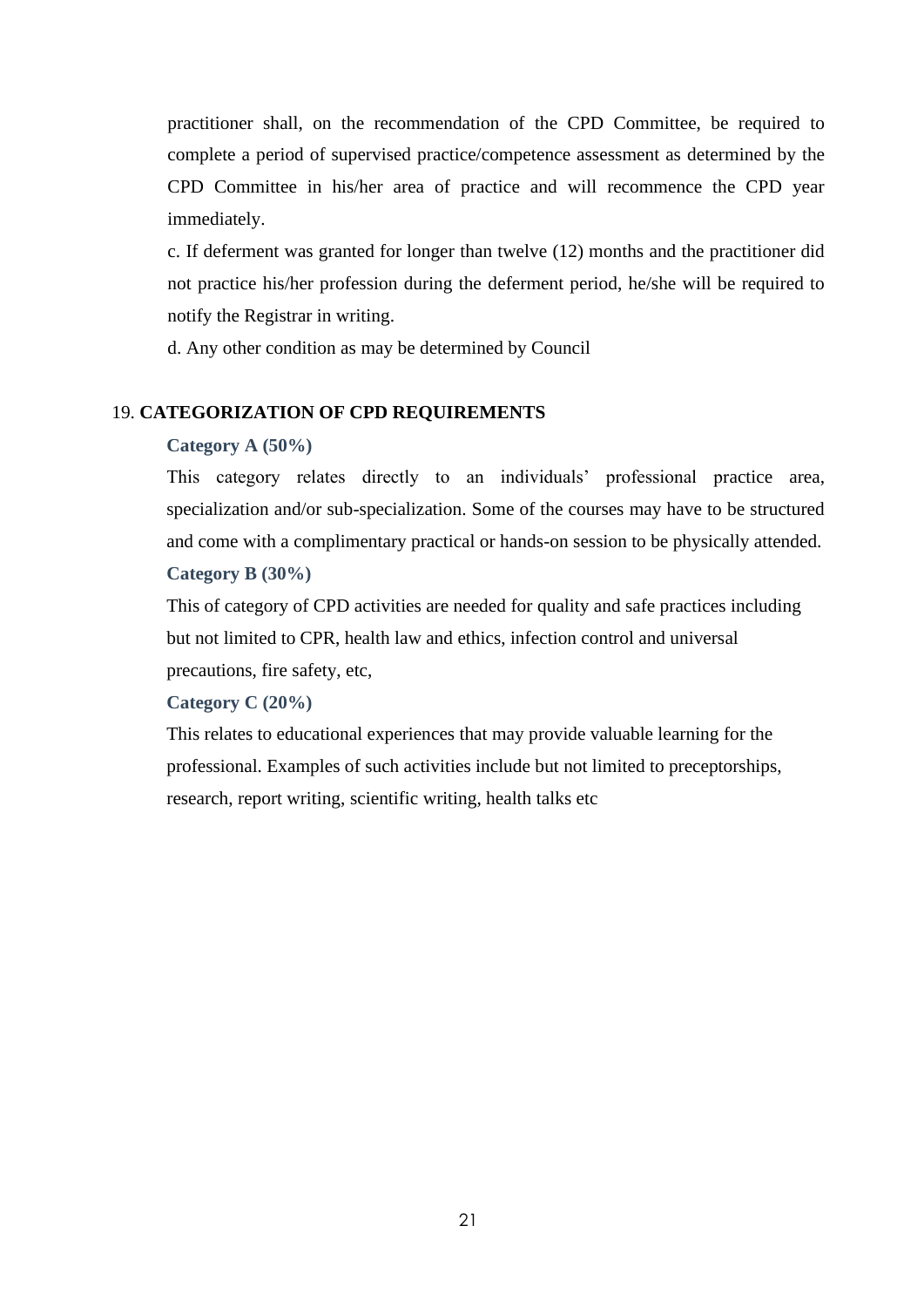practitioner shall, on the recommendation of the CPD Committee, be required to complete a period of supervised practice/competence assessment as determined by the CPD Committee in his/her area of practice and will recommence the CPD year immediately.

c. If deferment was granted for longer than twelve (12) months and the practitioner did not practice his/her profession during the deferment period, he/she will be required to notify the Registrar in writing.

d. Any other condition as may be determined by Council

#### 19. **CATEGORIZATION OF CPD REQUIREMENTS**

#### **Category A (50%)**

This category relates directly to an individuals' professional practice area, specialization and/or sub-specialization. Some of the courses may have to be structured and come with a complimentary practical or hands-on session to be physically attended. **Category B (30%)**

This of category of CPD activities are needed for quality and safe practices including but not limited to CPR, health law and ethics, infection control and universal precautions, fire safety, etc,

#### **Category C (20%)**

This relates to educational experiences that may provide valuable learning for the professional. Examples of such activities include but not limited to preceptorships, research, report writing, scientific writing, health talks etc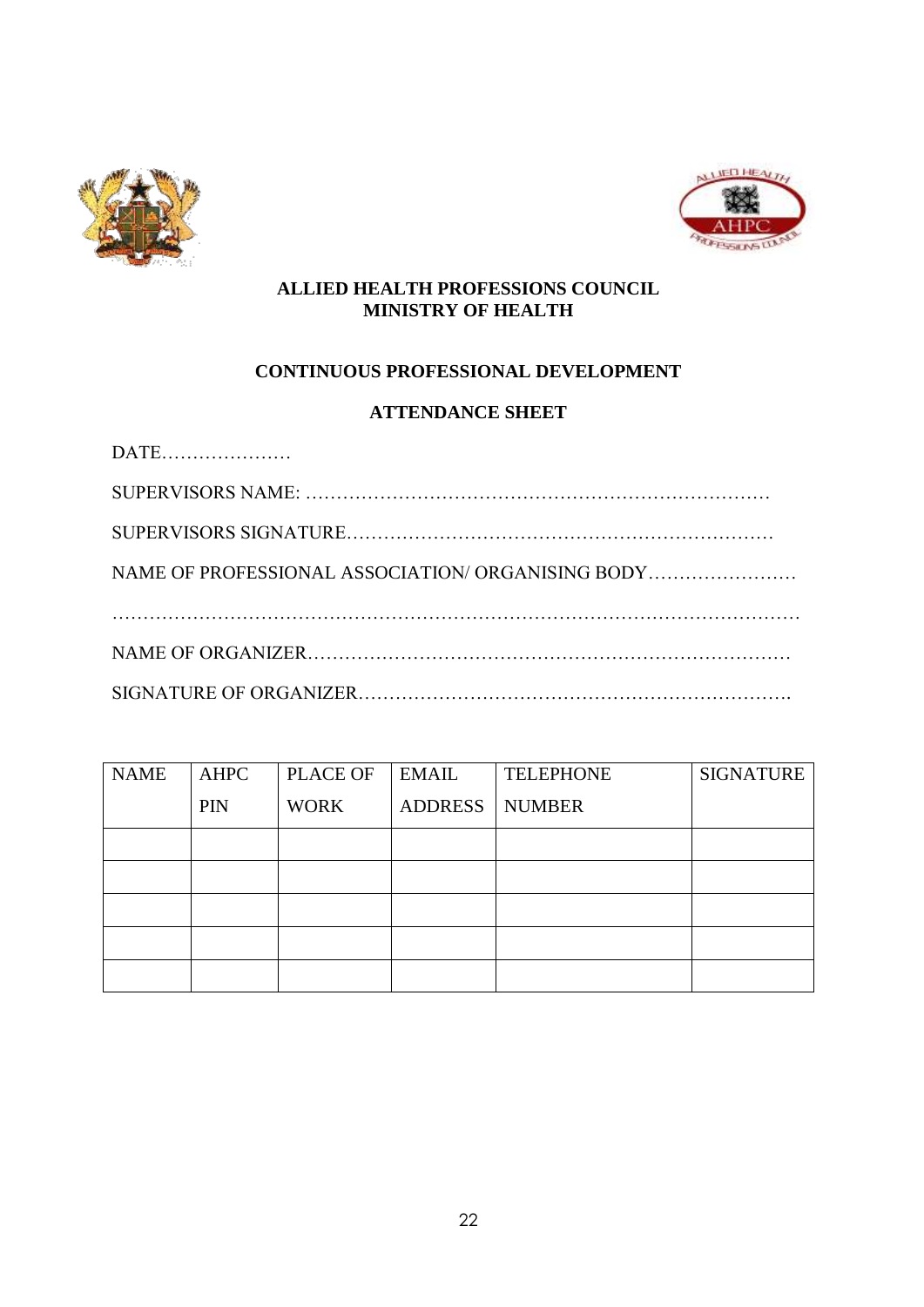



# **ALLIED HEALTH PROFESSIONS COUNCIL MINISTRY OF HEALTH**

# **CONTINUOUS PROFESSIONAL DEVELOPMENT**

# **ATTENDANCE SHEET**

| NAME OF PROFESSIONAL ASSOCIATION/ ORGANISING BODY |
|---------------------------------------------------|
|                                                   |
|                                                   |
|                                                   |

| <b>NAME</b> | <b>AHPC</b> | PLACE OF    | EMAIL   | <b>TELEPHONE</b> | <b>SIGNATURE</b> |
|-------------|-------------|-------------|---------|------------------|------------------|
|             | <b>PIN</b>  | <b>WORK</b> | ADDRESS | NUMBER           |                  |
|             |             |             |         |                  |                  |
|             |             |             |         |                  |                  |
|             |             |             |         |                  |                  |
|             |             |             |         |                  |                  |
|             |             |             |         |                  |                  |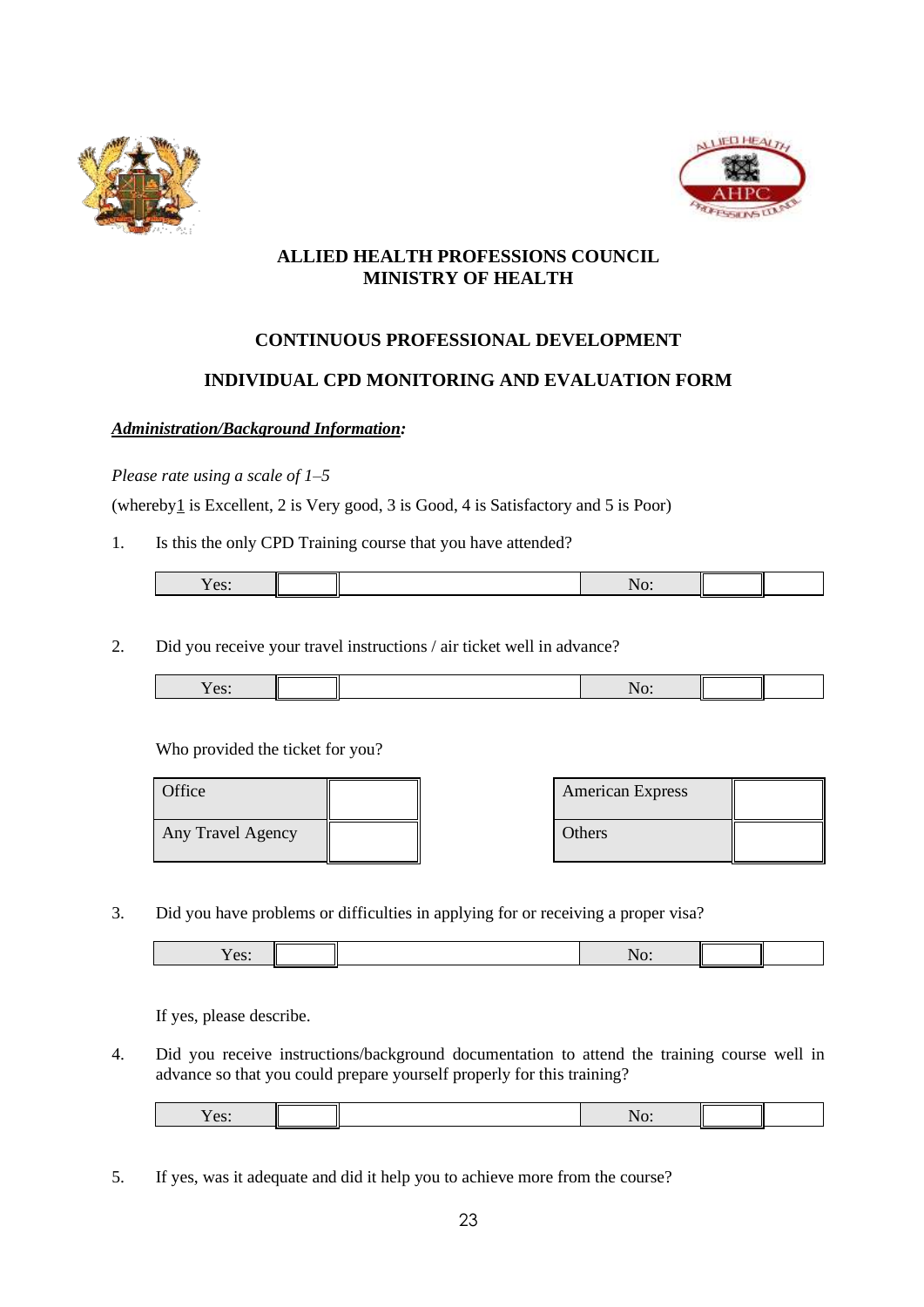



# **ALLIED HEALTH PROFESSIONS COUNCIL MINISTRY OF HEALTH**

# **CONTINUOUS PROFESSIONAL DEVELOPMENT**

# **INDIVIDUAL CPD MONITORING AND EVALUATION FORM**

## *Administration/Background Information:*

#### *Please rate using a scale of 1–5*

(whereby $1$  is Excellent, 2 is Very good, 3 is Good, 4 is Satisfactory and 5 is Poor)

1. Is this the only CPD Training course that you have attended?

| $\alpha$ <sup>.</sup><br>ັບນະ |  |  |  |
|-------------------------------|--|--|--|
|                               |  |  |  |

2. Did you receive your travel instructions / air ticket well in advance?

| $\alpha$ <sup><math>\alpha</math></sup><br>$\mathbf{U}$ |  | $\cdot$ $\cdot$ |  |
|---------------------------------------------------------|--|-----------------|--|
|                                                         |  |                 |  |

Who provided the ticket for you?

| Office            |  | <b>American Express</b> |  |
|-------------------|--|-------------------------|--|
| Any Travel Agency |  | Others                  |  |

3. Did you have problems or difficulties in applying for or receiving a proper visa?

If yes, please describe.

4. Did you receive instructions/background documentation to attend the training course well in advance so that you could prepare yourself properly for this training?

5. If yes, was it adequate and did it help you to achieve more from the course?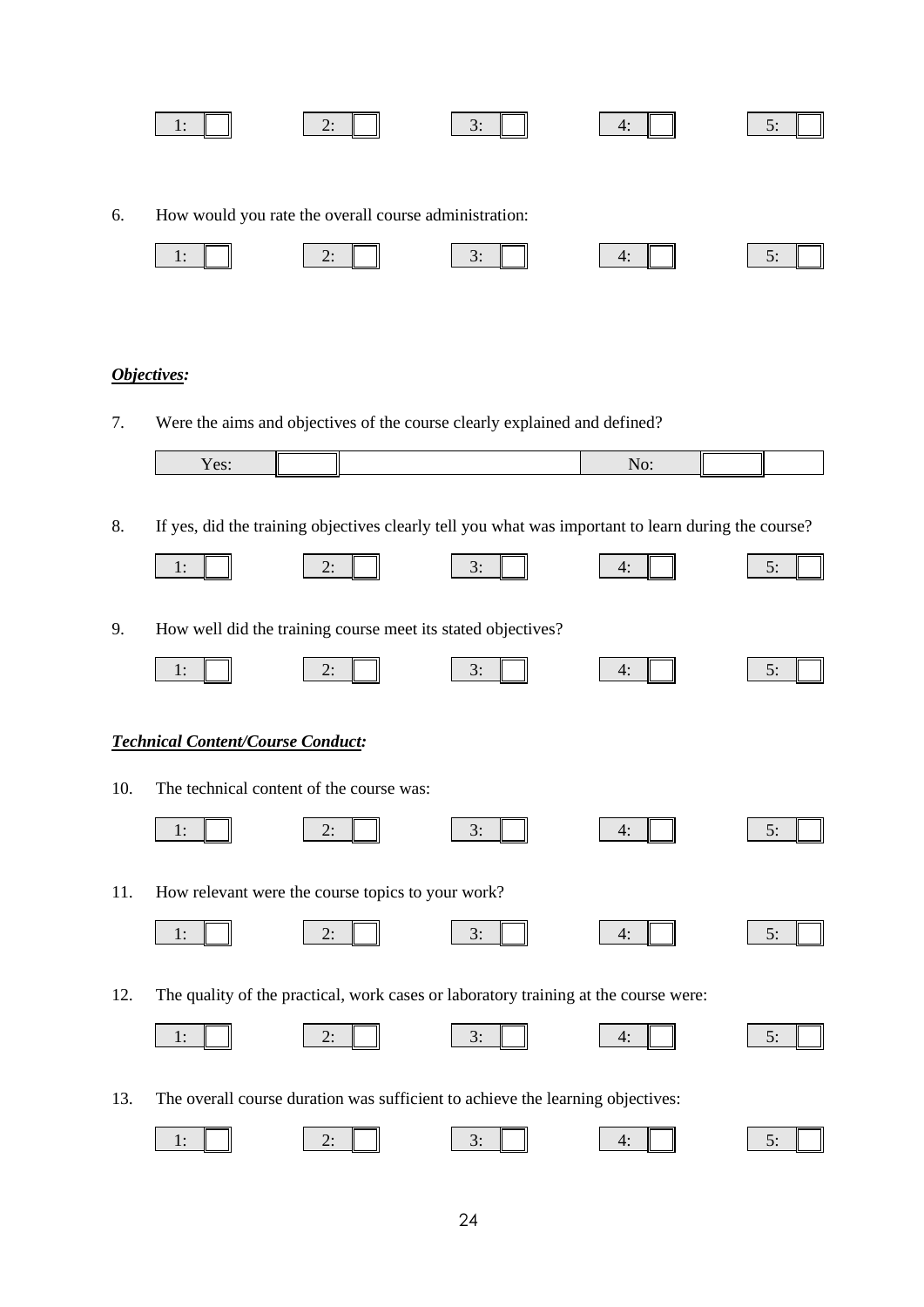|    | 1:          | 2:                                                          | 3:                                                                        | 4:  | 5: |
|----|-------------|-------------------------------------------------------------|---------------------------------------------------------------------------|-----|----|
| 6. |             | How would you rate the overall course administration:<br>2: | 3:                                                                        | 4:  |    |
|    | 1:          |                                                             |                                                                           |     | 5: |
|    | Objectives: |                                                             |                                                                           |     |    |
| 7. |             |                                                             | Were the aims and objectives of the course clearly explained and defined? |     |    |
|    | Yes:        |                                                             |                                                                           | No: |    |

8. If yes, did the training objectives clearly tell you what was important to learn during the course?

|     | 1:                                | 2:                                                           | 3:                                                                                  | 4: | 5: |
|-----|-----------------------------------|--------------------------------------------------------------|-------------------------------------------------------------------------------------|----|----|
| 9.  |                                   | How well did the training course meet its stated objectives? |                                                                                     |    |    |
|     | 1:                                | 2:                                                           | 3:                                                                                  | 4: | 5: |
|     | Technical Content/Course Conduct: |                                                              |                                                                                     |    |    |
| 10. |                                   | The technical content of the course was:                     |                                                                                     |    |    |
|     | 1:                                | 2:                                                           | 3:                                                                                  | 4: | 5: |
| 11. |                                   | How relevant were the course topics to your work?            |                                                                                     |    |    |
|     | 1:                                | 2:                                                           | 3:                                                                                  | 4: | 5: |
| 12. |                                   |                                                              | The quality of the practical, work cases or laboratory training at the course were: |    |    |
|     | 1:                                | 2:                                                           | 3:                                                                                  | 4: | 5: |

13. The overall course duration was sufficient to achieve the learning objectives:

| $\sim 10^{-1}$<br>$\overline{\phantom{a}}$ |  |  |  |
|--------------------------------------------|--|--|--|
|                                            |  |  |  |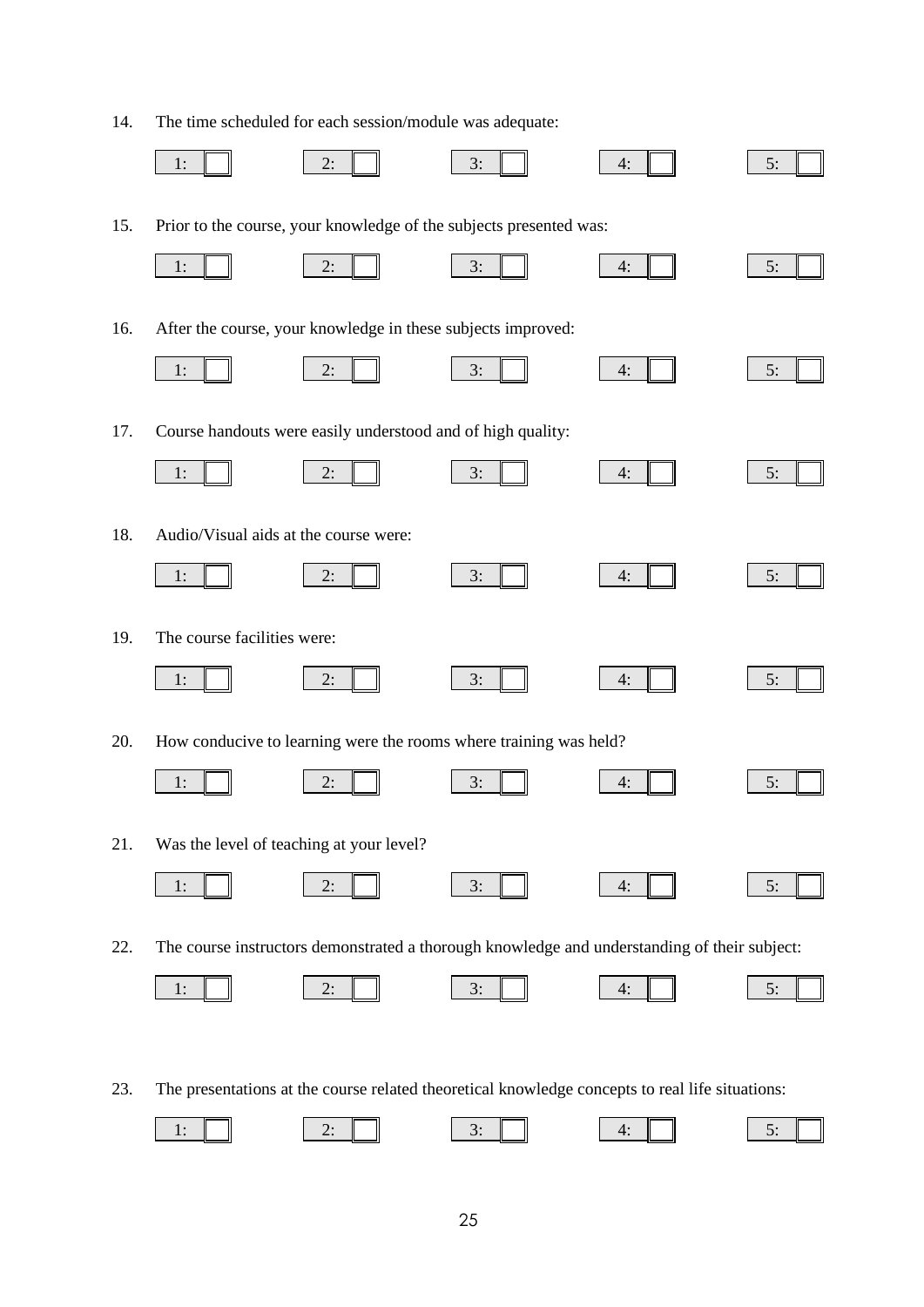14. The time scheduled for each session/module was adequate:

|     | 1:                                    | 2:                                                           | 3:                                                                 | 4:                                                                                              | 5: |
|-----|---------------------------------------|--------------------------------------------------------------|--------------------------------------------------------------------|-------------------------------------------------------------------------------------------------|----|
| 15. |                                       |                                                              | Prior to the course, your knowledge of the subjects presented was: |                                                                                                 |    |
|     | 1:                                    | 2:                                                           | 3:                                                                 | 4:                                                                                              | 5: |
| 16. |                                       | After the course, your knowledge in these subjects improved: |                                                                    |                                                                                                 |    |
|     | 1:                                    | 2:                                                           | 3:                                                                 | 4:                                                                                              | 5: |
| 17. |                                       | Course handouts were easily understood and of high quality:  |                                                                    |                                                                                                 |    |
|     | 1:                                    | 2:                                                           | 3:                                                                 | 4:                                                                                              | 5: |
| 18. | Audio/Visual aids at the course were: |                                                              |                                                                    |                                                                                                 |    |
|     | 1:                                    | 2:                                                           | 3:                                                                 | 4:                                                                                              | 5: |
| 19. | The course facilities were:           |                                                              |                                                                    |                                                                                                 |    |
|     | 1:                                    | 2:                                                           | 3:                                                                 | 4:                                                                                              | 5: |
| 20. |                                       |                                                              | How conducive to learning were the rooms where training was held?  |                                                                                                 |    |
|     | 1:                                    | 2:                                                           | 3:                                                                 | 4:                                                                                              | 5: |
| 21. |                                       | Was the level of teaching at your level?                     |                                                                    |                                                                                                 |    |
|     | 1:                                    | 2:                                                           | 3:                                                                 | 4:                                                                                              | 5: |
| 22. |                                       |                                                              |                                                                    | The course instructors demonstrated a thorough knowledge and understanding of their subject:    |    |
|     | 1:                                    | 2:                                                           | 3:                                                                 | 4:                                                                                              | 5: |
|     |                                       |                                                              |                                                                    |                                                                                                 |    |
| 23. |                                       |                                                              |                                                                    | The presentations at the course related theoretical knowledge concepts to real life situations: |    |

1:  $\parallel$   $\parallel$   $\parallel$  2:  $\parallel$   $\parallel$  3:  $\parallel$   $\parallel$  4:  $\parallel$   $\parallel$  5: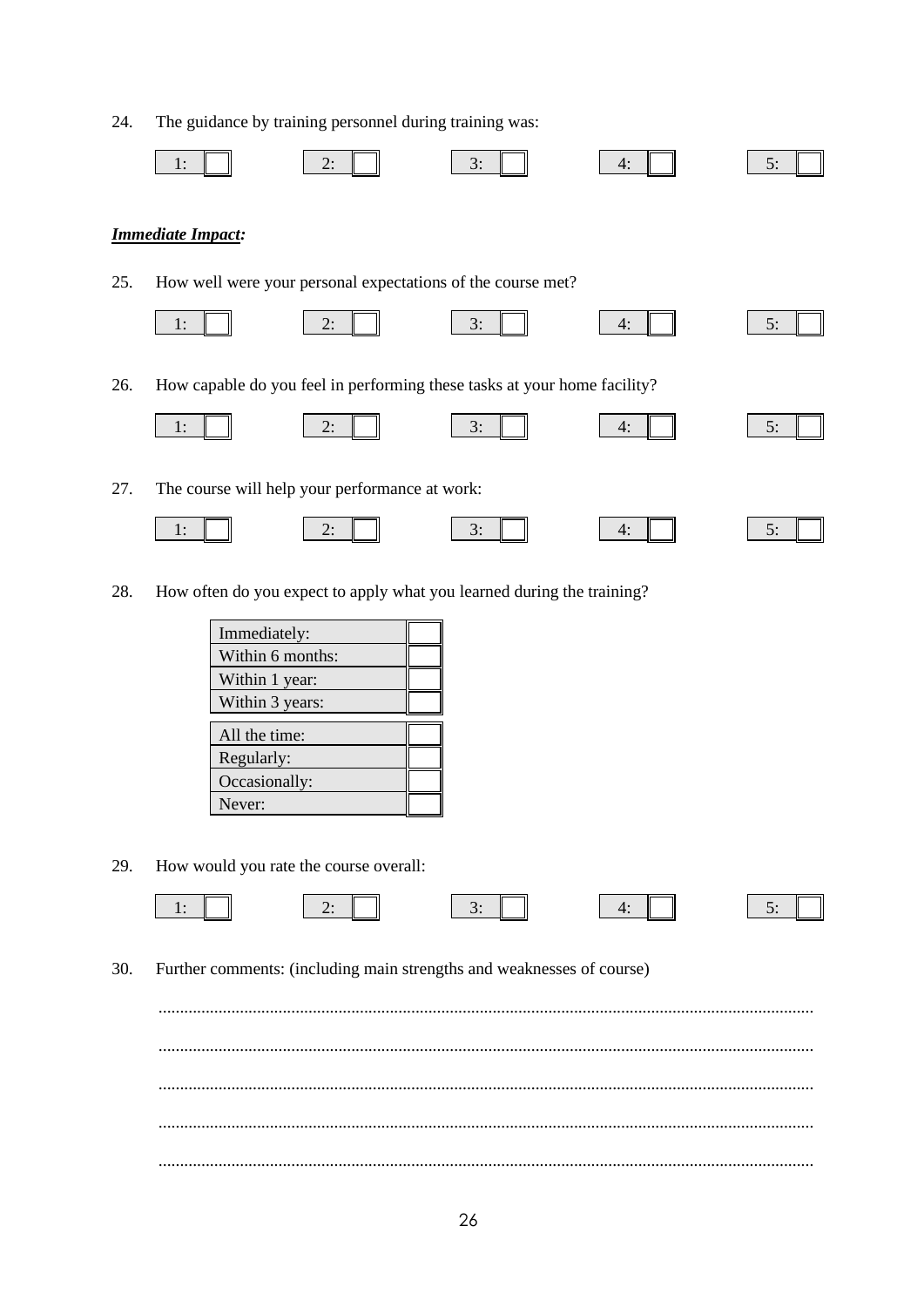| 24. |                                                                                          | The guidance by training personnel during training was:                                                       |    |    |    |
|-----|------------------------------------------------------------------------------------------|---------------------------------------------------------------------------------------------------------------|----|----|----|
|     | 1:                                                                                       | 2:                                                                                                            | 3: | 4: | 5: |
|     | <b>Immediate Impact:</b>                                                                 |                                                                                                               |    |    |    |
| 25. |                                                                                          | How well were your personal expectations of the course met?                                                   |    |    |    |
|     | 1:                                                                                       | 2:                                                                                                            | 3: | 4: | 5: |
| 26. |                                                                                          | How capable do you feel in performing these tasks at your home facility?                                      |    |    |    |
|     | 1:                                                                                       | 2:                                                                                                            | 3: | 4: | 5: |
| 27. |                                                                                          | The course will help your performance at work:                                                                |    |    |    |
|     | 1:                                                                                       | 2:                                                                                                            | 3: | 4: | 5: |
| 28. | Immediately:<br>Within 1 year:<br>All the time:<br>Regularly:<br>Occasionally:<br>Never: | How often do you expect to apply what you learned during the training?<br>Within 6 months:<br>Within 3 years: |    |    |    |
| 29. |                                                                                          | How would you rate the course overall:                                                                        |    |    |    |
| 30. | 1:                                                                                       | 2:<br>Further comments: (including main strengths and weaknesses of course)                                   | 3: | 4: | 5: |
|     |                                                                                          |                                                                                                               |    |    |    |
|     |                                                                                          |                                                                                                               |    |    |    |
|     |                                                                                          |                                                                                                               |    |    |    |
|     |                                                                                          |                                                                                                               |    |    |    |
|     |                                                                                          |                                                                                                               |    |    |    |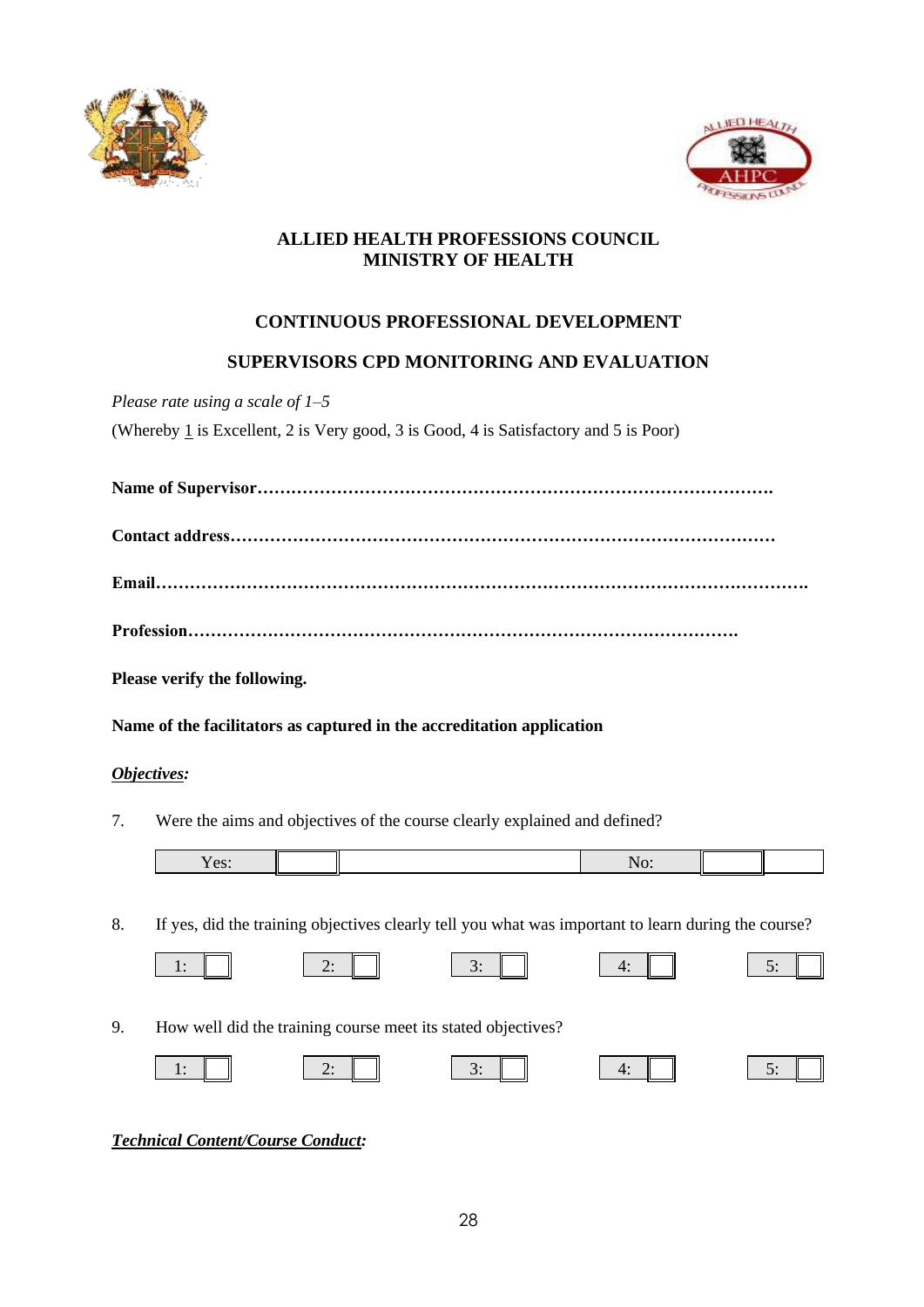



# **ALLIED HEALTH PROFESSIONS COUNCIL MINISTRY OF HEALTH**

# **CONTINUOUS PROFESSIONAL DEVELOPMENT**

# **SUPERVISORS CPD MONITORING AND EVALUATION**

*Please rate using a scale of 1–5*

(Whereby  $1$  is Excellent, 2 is Very good, 3 is Good, 4 is Satisfactory and 5 is Poor)

|--|

|--|

**Please verify the following.**

**Name of the facilitators as captured in the accreditation application**

# *Objectives:*

7. Were the aims and objectives of the course clearly explained and defined?

8. If yes, did the training objectives clearly tell you what was important to learn during the course?

| How well did the training course meet its stated objectives?<br>9. |  |  |    |             |  |
|--------------------------------------------------------------------|--|--|----|-------------|--|
|                                                                    |  |  | 3. | $\Lambda$ . |  |

# *Technical Content/Course Conduct:*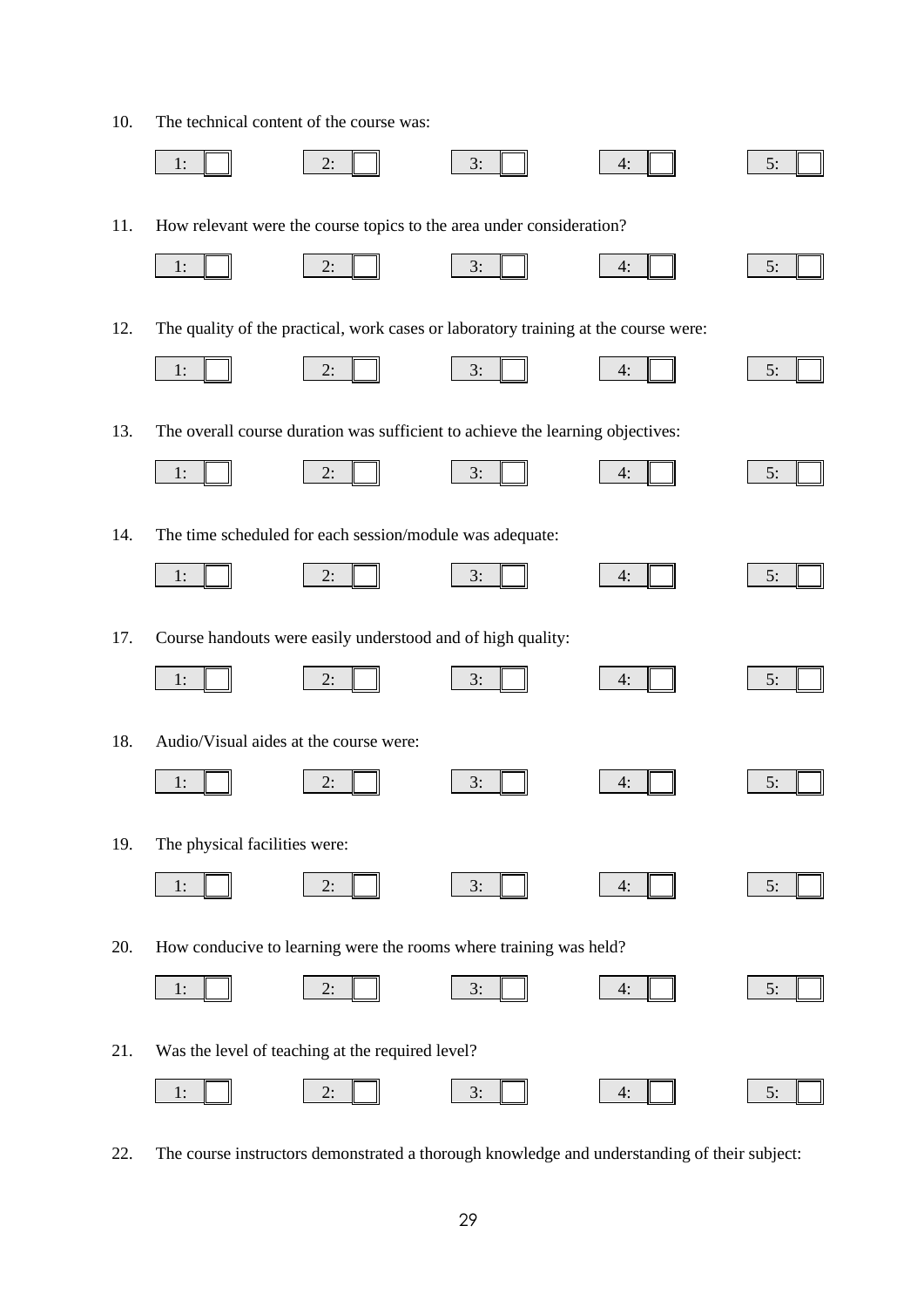10. The technical content of the course was:

|     | 1:                                                          | 2:                                                                                  | 3: | 4: | 5: |  |
|-----|-------------------------------------------------------------|-------------------------------------------------------------------------------------|----|----|----|--|
| 11. |                                                             | How relevant were the course topics to the area under consideration?                |    |    |    |  |
|     | 1:                                                          | 2:                                                                                  | 3: | 4: | 5: |  |
| 12. |                                                             | The quality of the practical, work cases or laboratory training at the course were: |    |    |    |  |
|     | 1:                                                          | 2:                                                                                  | 3: | 4: | 5: |  |
| 13. |                                                             | The overall course duration was sufficient to achieve the learning objectives:      |    |    |    |  |
|     | 1:                                                          | 2:                                                                                  | 3: | 4: | 5: |  |
| 14. |                                                             | The time scheduled for each session/module was adequate:                            |    |    |    |  |
|     | 1:                                                          | 2:                                                                                  | 3: | 4: | 5: |  |
| 17. | Course handouts were easily understood and of high quality: |                                                                                     |    |    |    |  |
|     | 1:                                                          | 2:                                                                                  | 3: | 4: | 5: |  |
| 18. | Audio/Visual aides at the course were:                      |                                                                                     |    |    |    |  |
|     | 1:                                                          | 2:                                                                                  | 3: | 4: | 5: |  |
| 19. | The physical facilities were:                               |                                                                                     |    |    |    |  |
|     | 1:                                                          | 2:                                                                                  | 3: | 4: | 5: |  |
| 20. |                                                             | How conducive to learning were the rooms where training was held?                   |    |    |    |  |
|     | 1:                                                          | 2:                                                                                  | 3: | 4: | 5: |  |
| 21. |                                                             | Was the level of teaching at the required level?                                    |    |    |    |  |
|     | 1:                                                          | 2:                                                                                  | 3: | 4: | 5: |  |

22. The course instructors demonstrated a thorough knowledge and understanding of their subject: